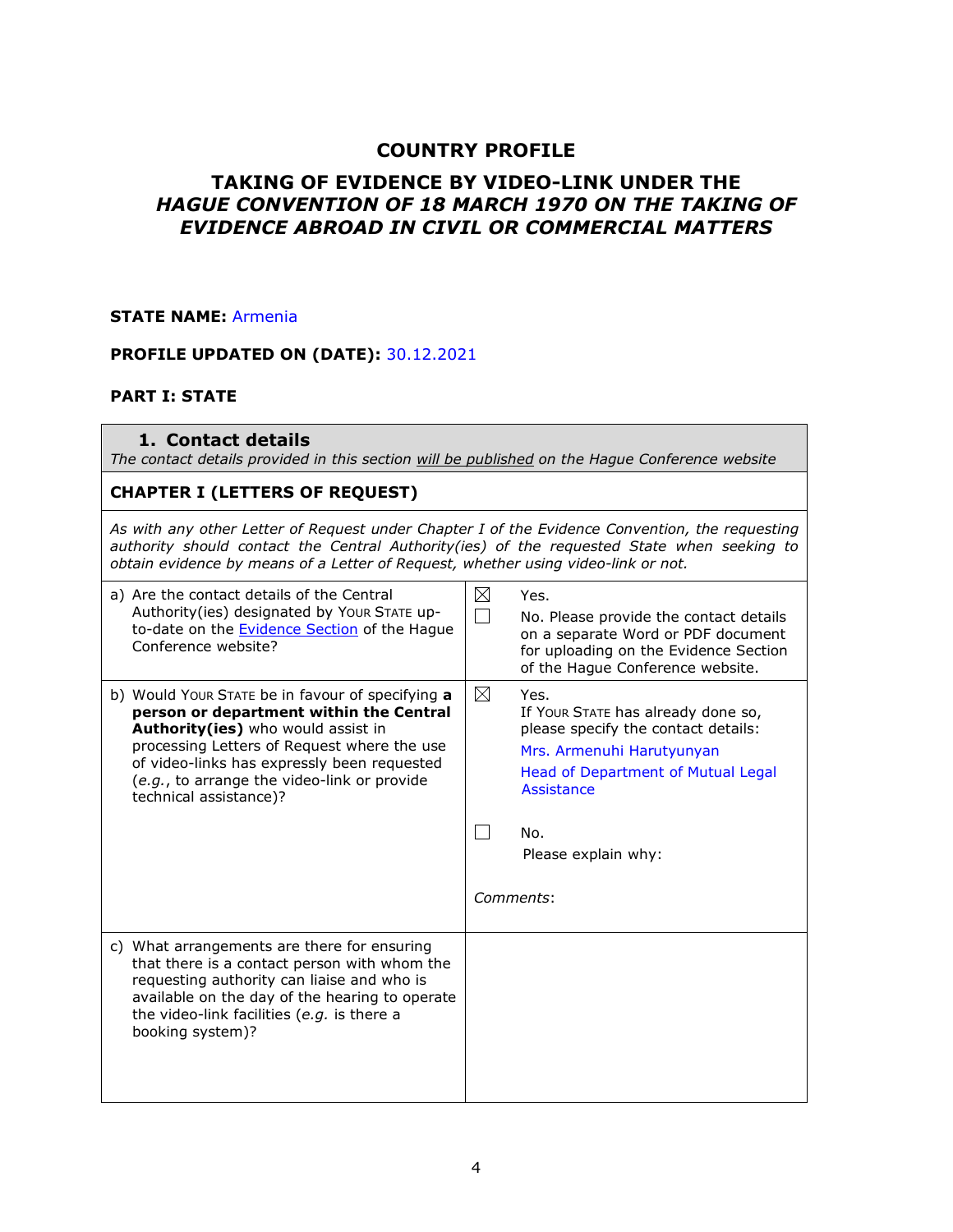## **COUNTRY PROFILE**

## **TAKING OF EVIDENCE BY VIDEO-LINK UNDER THE** *HAGUE CONVENTION OF 18 MARCH 1970 ON THE TAKING OF EVIDENCE ABROAD IN CIVIL OR COMMERCIAL MATTERS*

### **STATE NAME:** Armenia

### **PROFILE UPDATED ON (DATE):** 30.12.2021

### **PART I: STATE**

#### **1. Contact details**

*The contact details provided in this section will be published on the Hague Conference website*

### **CHAPTER I (LETTERS OF REQUEST)**

*As with any other Letter of Request under Chapter I of the Evidence Convention, the requesting authority should contact the Central Authority(ies) of the requested State when seeking to obtain evidence by means of a Letter of Request, whether using video-link or not.* 

| a) Are the contact details of the Central<br>Authority(ies) designated by Your STATE up-<br>to-date on the <b>Evidence Section</b> of the Hague<br>Conference website?                                                                                                                                   | $\boxtimes$ | Yes.<br>No. Please provide the contact details<br>on a separate Word or PDF document<br>for uploading on the Evidence Section<br>of the Hague Conference website.                                             |
|----------------------------------------------------------------------------------------------------------------------------------------------------------------------------------------------------------------------------------------------------------------------------------------------------------|-------------|---------------------------------------------------------------------------------------------------------------------------------------------------------------------------------------------------------------|
| b) Would Your STATE be in favour of specifying a<br>person or department within the Central<br>Authority(ies) who would assist in<br>processing Letters of Request where the use<br>of video-links has expressly been requested<br>(e.g., to arrange the video-link or provide<br>technical assistance)? | ⊠           | Yes.<br>If Your STATE has already done so,<br>please specify the contact details:<br>Mrs. Armenuhi Harutyunyan<br>Head of Department of Mutual Legal<br>Assistance<br>No.<br>Please explain why:<br>Comments: |
| c) What arrangements are there for ensuring<br>that there is a contact person with whom the<br>requesting authority can liaise and who is<br>available on the day of the hearing to operate<br>the video-link facilities (e.g. is there a<br>booking system)?                                            |             |                                                                                                                                                                                                               |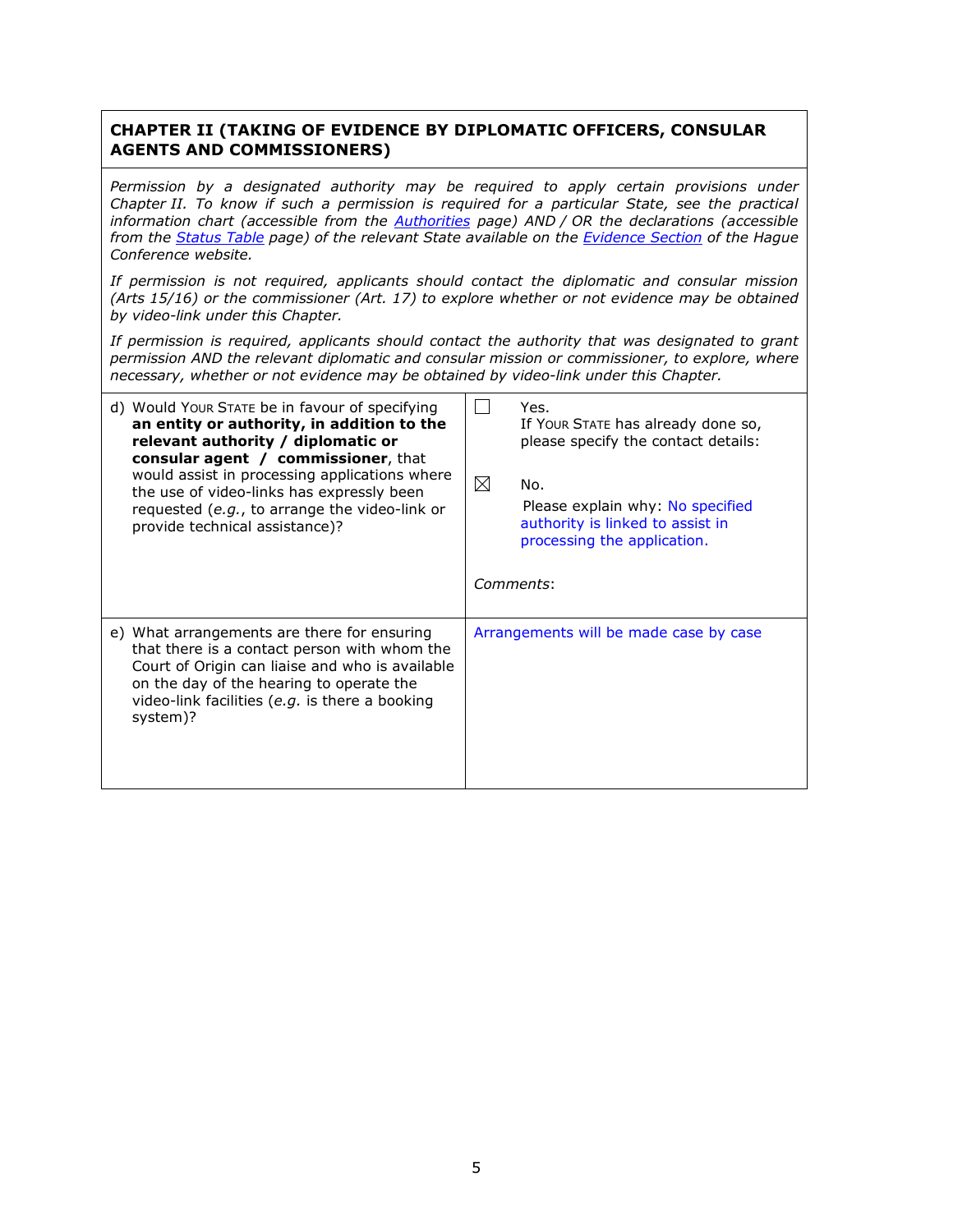### **CHAPTER II (TAKING OF EVIDENCE BY DIPLOMATIC OFFICERS, CONSULAR AGENTS AND COMMISSIONERS)**

*Permission by a designated authority may be required to apply certain provisions under Chapter II. To know if such a permission is required for a particular State, see the practical information chart (accessible from the [Authorities](https://www.hcch.net/en/instruments/conventions/authorities1/?cid=82) page) AND / OR the declarations (accessible from the [Status Table](https://www.hcch.net/en/instruments/conventions/status-table/?cid=82) page) of the relevant State available on the [Evidence Section](https://www.hcch.net/en/instruments/specialised-sections/evidence) of the Hague Conference website.*

*If permission is not required, applicants should contact the diplomatic and consular mission (Arts 15/16) or the commissioner (Art. 17) to explore whether or not evidence may be obtained by video-link under this Chapter.*

*If permission is required, applicants should contact the authority that was designated to grant permission AND the relevant diplomatic and consular mission or commissioner, to explore, where necessary, whether or not evidence may be obtained by video-link under this Chapter.*

| d) Would Your STATE be in favour of specifying<br>an entity or authority, in addition to the<br>relevant authority / diplomatic or<br><b>consular agent / commissioner, that</b><br>would assist in processing applications where<br>the use of video-links has expressly been<br>requested (e.g., to arrange the video-link or<br>provide technical assistance)? | Yes.<br>If Your STATE has already done so,<br>please specify the contact details:<br>$\boxtimes$<br>No.<br>Please explain why: No specified<br>authority is linked to assist in<br>processing the application.<br>Comments: |
|-------------------------------------------------------------------------------------------------------------------------------------------------------------------------------------------------------------------------------------------------------------------------------------------------------------------------------------------------------------------|-----------------------------------------------------------------------------------------------------------------------------------------------------------------------------------------------------------------------------|
| e) What arrangements are there for ensuring<br>that there is a contact person with whom the<br>Court of Origin can liaise and who is available<br>on the day of the hearing to operate the<br>video-link facilities (e.g. is there a booking<br>system)?                                                                                                          | Arrangements will be made case by case                                                                                                                                                                                      |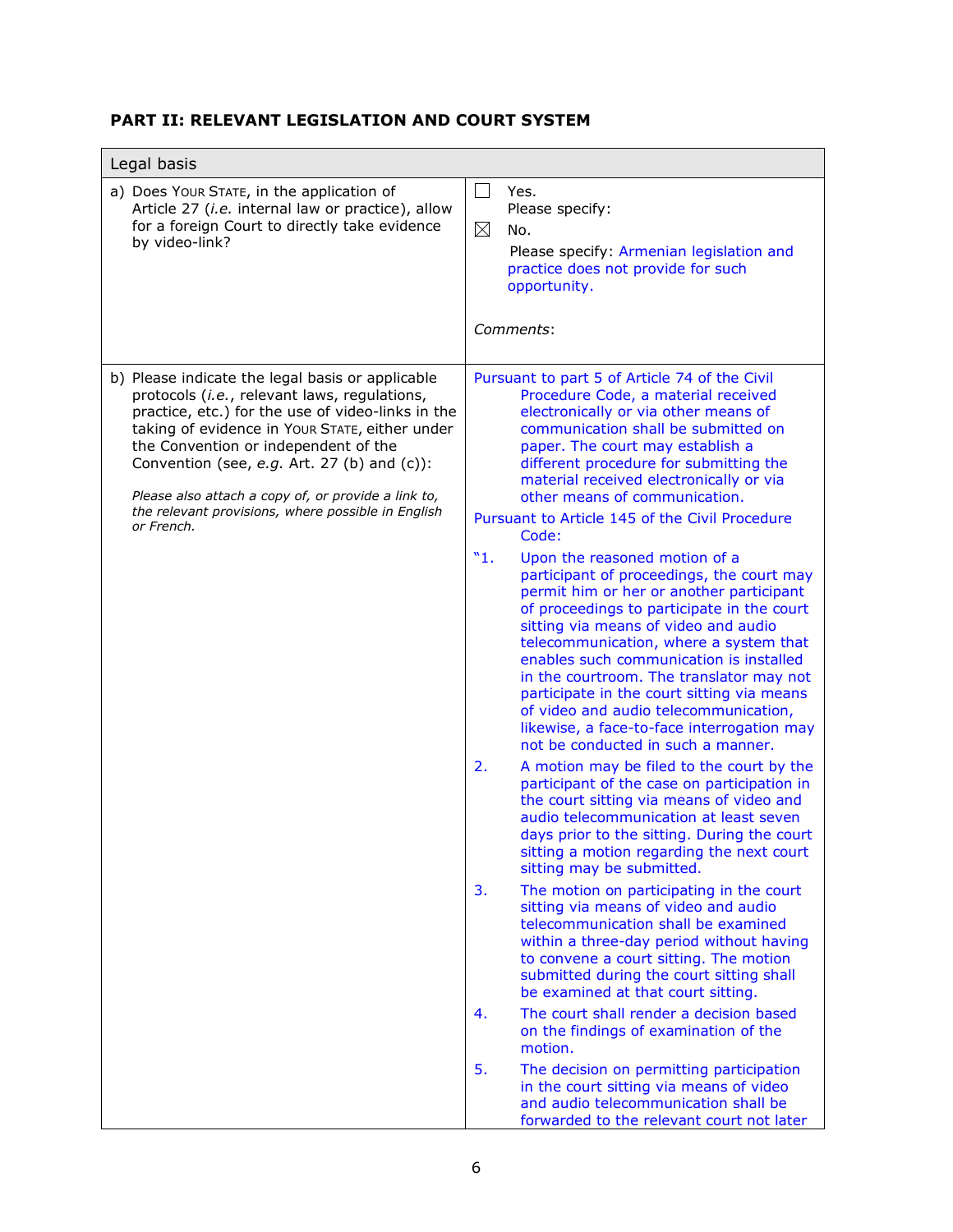# **PART II: RELEVANT LEGISLATION AND COURT SYSTEM**

| Legal basis                                                                                                                                                                                                                                                                                                                                                                                                               |                                                                                                                                                                                                                                                                                                                                                                                                                                                                                                                                                                                                                                                                                                                                                                                                                                                                                                                                                                                                                                                                                                                                                                                                                                                                                                                                                                                                                                                                                                                                                                                                                                                                                                                                                                                                                                              |  |  |
|---------------------------------------------------------------------------------------------------------------------------------------------------------------------------------------------------------------------------------------------------------------------------------------------------------------------------------------------------------------------------------------------------------------------------|----------------------------------------------------------------------------------------------------------------------------------------------------------------------------------------------------------------------------------------------------------------------------------------------------------------------------------------------------------------------------------------------------------------------------------------------------------------------------------------------------------------------------------------------------------------------------------------------------------------------------------------------------------------------------------------------------------------------------------------------------------------------------------------------------------------------------------------------------------------------------------------------------------------------------------------------------------------------------------------------------------------------------------------------------------------------------------------------------------------------------------------------------------------------------------------------------------------------------------------------------------------------------------------------------------------------------------------------------------------------------------------------------------------------------------------------------------------------------------------------------------------------------------------------------------------------------------------------------------------------------------------------------------------------------------------------------------------------------------------------------------------------------------------------------------------------------------------------|--|--|
| a) Does Your STATE, in the application of<br>Article 27 (i.e. internal law or practice), allow<br>for a foreign Court to directly take evidence<br>by video-link?                                                                                                                                                                                                                                                         | Yes.<br>$\sim$<br>Please specify:<br>$\boxtimes$<br>No.<br>Please specify: Armenian legislation and<br>practice does not provide for such<br>opportunity.<br>Comments:                                                                                                                                                                                                                                                                                                                                                                                                                                                                                                                                                                                                                                                                                                                                                                                                                                                                                                                                                                                                                                                                                                                                                                                                                                                                                                                                                                                                                                                                                                                                                                                                                                                                       |  |  |
| b) Please indicate the legal basis or applicable<br>protocols (i.e., relevant laws, regulations,<br>practice, etc.) for the use of video-links in the<br>taking of evidence in Your STATE, either under<br>the Convention or independent of the<br>Convention (see, e.g. Art. 27 (b) and (c)):<br>Please also attach a copy of, or provide a link to,<br>the relevant provisions, where possible in English<br>or French. | Pursuant to part 5 of Article 74 of the Civil<br>Procedure Code, a material received<br>electronically or via other means of<br>communication shall be submitted on<br>paper. The court may establish a<br>different procedure for submitting the<br>material received electronically or via<br>other means of communication.<br>Pursuant to Article 145 of the Civil Procedure<br>Code:<br>"1.<br>Upon the reasoned motion of a<br>participant of proceedings, the court may<br>permit him or her or another participant<br>of proceedings to participate in the court<br>sitting via means of video and audio<br>telecommunication, where a system that<br>enables such communication is installed<br>in the courtroom. The translator may not<br>participate in the court sitting via means<br>of video and audio telecommunication,<br>likewise, a face-to-face interrogation may<br>not be conducted in such a manner.<br>2.<br>A motion may be filed to the court by the<br>participant of the case on participation in<br>the court sitting via means of video and<br>audio telecommunication at least seven<br>days prior to the sitting. During the court<br>sitting a motion regarding the next court<br>sitting may be submitted.<br>3.<br>The motion on participating in the court<br>sitting via means of video and audio<br>telecommunication shall be examined<br>within a three-day period without having<br>to convene a court sitting. The motion<br>submitted during the court sitting shall<br>be examined at that court sitting.<br>4.<br>The court shall render a decision based<br>on the findings of examination of the<br>motion.<br>5.<br>The decision on permitting participation<br>in the court sitting via means of video<br>and audio telecommunication shall be<br>forwarded to the relevant court not later |  |  |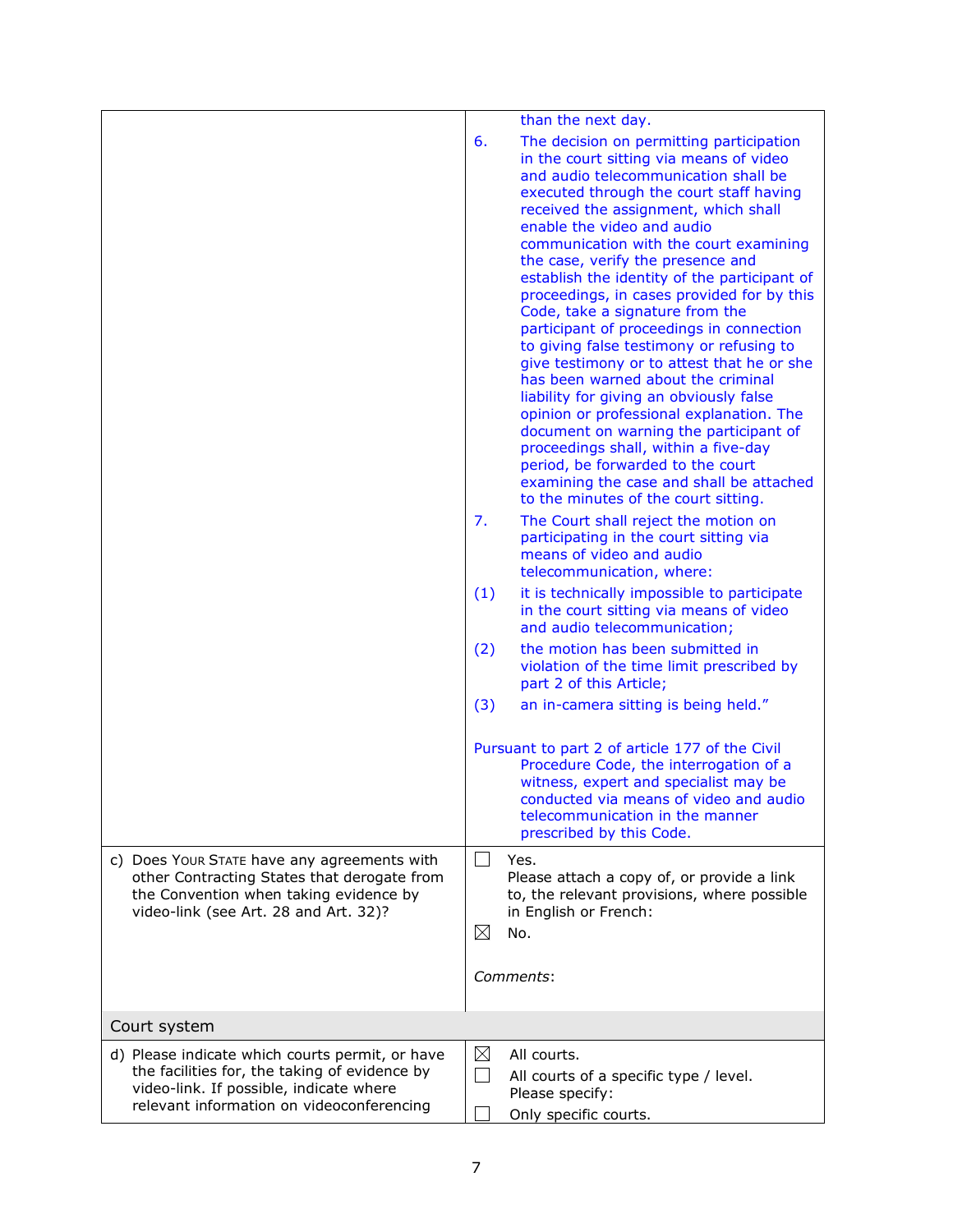|                                                                                                                                                                                          | than the next day.                                                                                                                                                                                                                                                                                                                                                                                                                                                                                                                                                                                                                                                                                                                                                                                                                                                                                                                               |
|------------------------------------------------------------------------------------------------------------------------------------------------------------------------------------------|--------------------------------------------------------------------------------------------------------------------------------------------------------------------------------------------------------------------------------------------------------------------------------------------------------------------------------------------------------------------------------------------------------------------------------------------------------------------------------------------------------------------------------------------------------------------------------------------------------------------------------------------------------------------------------------------------------------------------------------------------------------------------------------------------------------------------------------------------------------------------------------------------------------------------------------------------|
|                                                                                                                                                                                          | 6.<br>The decision on permitting participation<br>in the court sitting via means of video<br>and audio telecommunication shall be<br>executed through the court staff having<br>received the assignment, which shall<br>enable the video and audio<br>communication with the court examining<br>the case, verify the presence and<br>establish the identity of the participant of<br>proceedings, in cases provided for by this<br>Code, take a signature from the<br>participant of proceedings in connection<br>to giving false testimony or refusing to<br>give testimony or to attest that he or she<br>has been warned about the criminal<br>liability for giving an obviously false<br>opinion or professional explanation. The<br>document on warning the participant of<br>proceedings shall, within a five-day<br>period, be forwarded to the court<br>examining the case and shall be attached<br>to the minutes of the court sitting. |
|                                                                                                                                                                                          | 7.<br>The Court shall reject the motion on<br>participating in the court sitting via<br>means of video and audio<br>telecommunication, where:                                                                                                                                                                                                                                                                                                                                                                                                                                                                                                                                                                                                                                                                                                                                                                                                    |
|                                                                                                                                                                                          | (1)<br>it is technically impossible to participate<br>in the court sitting via means of video<br>and audio telecommunication;                                                                                                                                                                                                                                                                                                                                                                                                                                                                                                                                                                                                                                                                                                                                                                                                                    |
|                                                                                                                                                                                          | the motion has been submitted in<br>(2)<br>violation of the time limit prescribed by<br>part 2 of this Article;                                                                                                                                                                                                                                                                                                                                                                                                                                                                                                                                                                                                                                                                                                                                                                                                                                  |
|                                                                                                                                                                                          | (3)<br>an in-camera sitting is being held."                                                                                                                                                                                                                                                                                                                                                                                                                                                                                                                                                                                                                                                                                                                                                                                                                                                                                                      |
|                                                                                                                                                                                          | Pursuant to part 2 of article 177 of the Civil<br>Procedure Code, the interrogation of a<br>witness, expert and specialist may be<br>conducted via means of video and audio<br>telecommunication in the manner<br>prescribed by this Code.                                                                                                                                                                                                                                                                                                                                                                                                                                                                                                                                                                                                                                                                                                       |
| c) Does Your STATE have any agreements with                                                                                                                                              | Yes.                                                                                                                                                                                                                                                                                                                                                                                                                                                                                                                                                                                                                                                                                                                                                                                                                                                                                                                                             |
| other Contracting States that derogate from<br>the Convention when taking evidence by<br>video-link (see Art. 28 and Art. 32)?                                                           | Please attach a copy of, or provide a link<br>to, the relevant provisions, where possible<br>in English or French:<br>⊠<br>No.                                                                                                                                                                                                                                                                                                                                                                                                                                                                                                                                                                                                                                                                                                                                                                                                                   |
|                                                                                                                                                                                          | Comments:                                                                                                                                                                                                                                                                                                                                                                                                                                                                                                                                                                                                                                                                                                                                                                                                                                                                                                                                        |
| Court system                                                                                                                                                                             |                                                                                                                                                                                                                                                                                                                                                                                                                                                                                                                                                                                                                                                                                                                                                                                                                                                                                                                                                  |
| d) Please indicate which courts permit, or have<br>the facilities for, the taking of evidence by<br>video-link. If possible, indicate where<br>relevant information on videoconferencing | ⊠<br>All courts.<br>$\Box$<br>All courts of a specific type / level.<br>Please specify:<br>Only specific courts.                                                                                                                                                                                                                                                                                                                                                                                                                                                                                                                                                                                                                                                                                                                                                                                                                                 |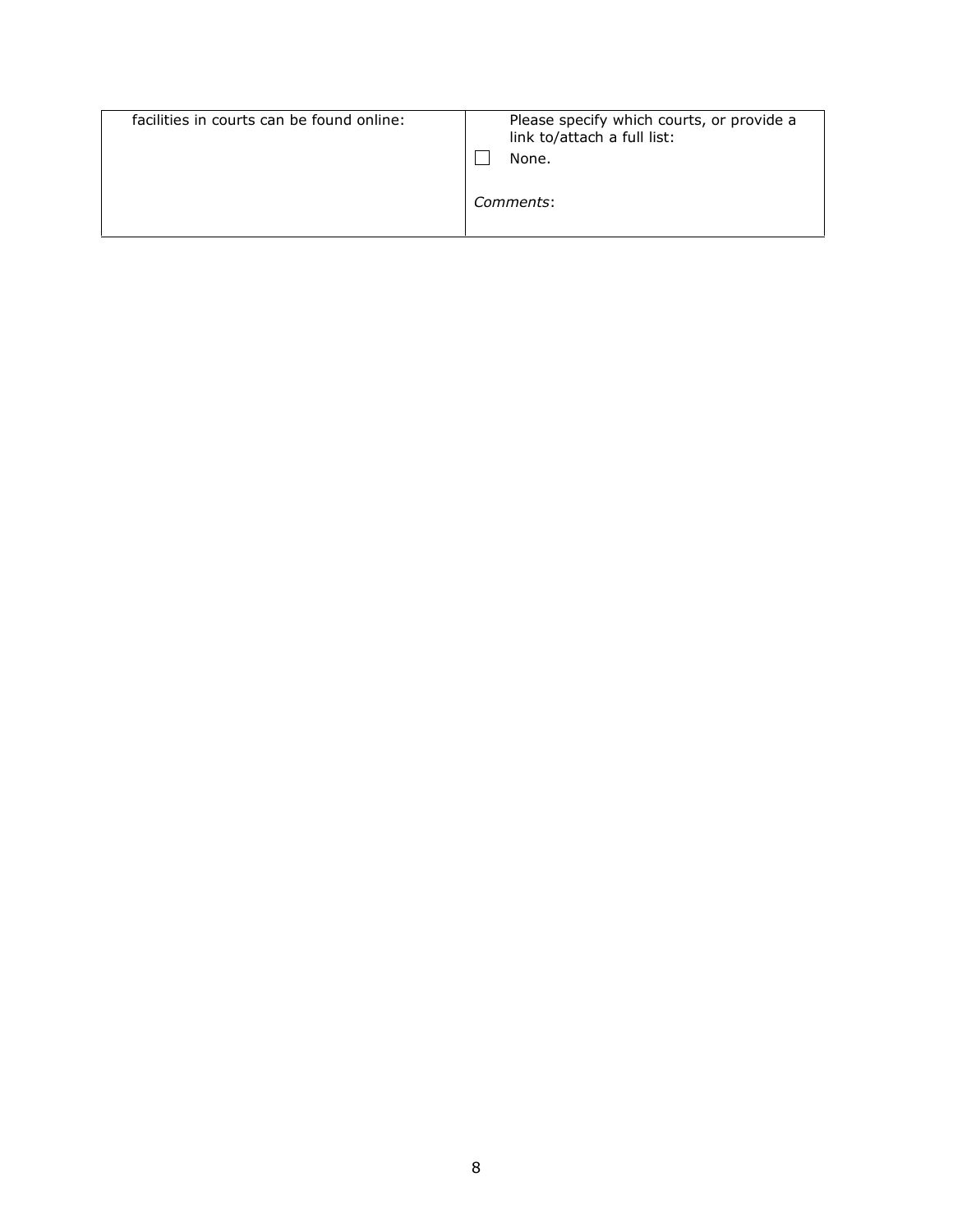| facilities in courts can be found online: | Please specify which courts, or provide a<br>link to/attach a full list:<br>None.<br>Comments: |
|-------------------------------------------|------------------------------------------------------------------------------------------------|
|-------------------------------------------|------------------------------------------------------------------------------------------------|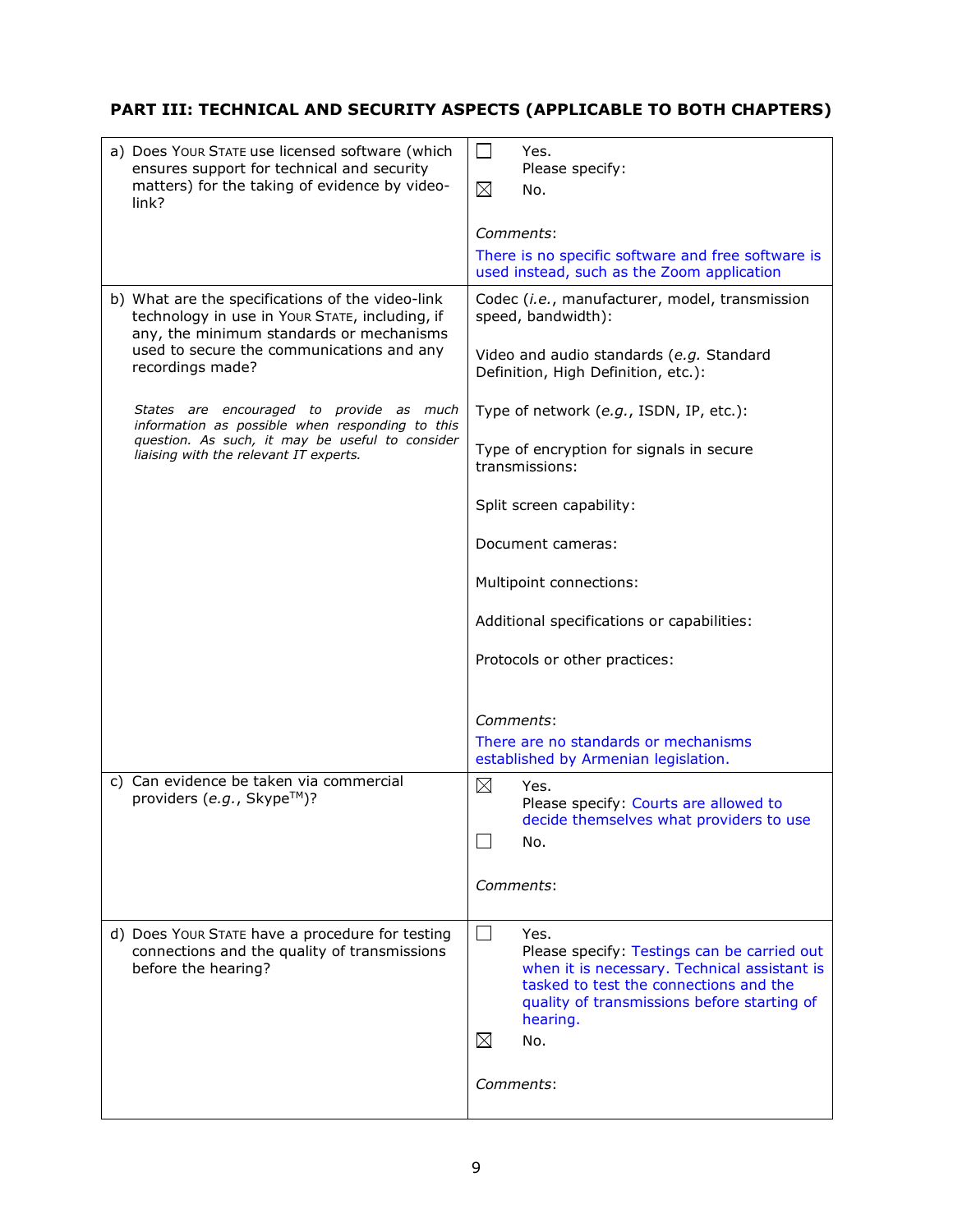## **PART III: TECHNICAL AND SECURITY ASPECTS (APPLICABLE TO BOTH CHAPTERS)**

| a) Does Your STATE use licensed software (which<br>ensures support for technical and security<br>matters) for the taking of evidence by video-<br>link? | $\vert \ \ \vert$<br>Yes.<br>Please specify:<br>$\boxtimes$<br>No.                                                                                                                                                             |
|---------------------------------------------------------------------------------------------------------------------------------------------------------|--------------------------------------------------------------------------------------------------------------------------------------------------------------------------------------------------------------------------------|
|                                                                                                                                                         | Comments:<br>There is no specific software and free software is<br>used instead, such as the Zoom application                                                                                                                  |
| b) What are the specifications of the video-link<br>technology in use in Your STATE, including, if<br>any, the minimum standards or mechanisms          | Codec (i.e., manufacturer, model, transmission<br>speed, bandwidth):                                                                                                                                                           |
| used to secure the communications and any<br>recordings made?                                                                                           | Video and audio standards (e.g. Standard<br>Definition, High Definition, etc.):                                                                                                                                                |
| States are encouraged to provide as much<br>information as possible when responding to this                                                             | Type of network (e.g., ISDN, IP, etc.):                                                                                                                                                                                        |
| question. As such, it may be useful to consider<br>liaising with the relevant IT experts.                                                               | Type of encryption for signals in secure<br>transmissions:                                                                                                                                                                     |
|                                                                                                                                                         | Split screen capability:                                                                                                                                                                                                       |
|                                                                                                                                                         | Document cameras:                                                                                                                                                                                                              |
|                                                                                                                                                         | Multipoint connections:                                                                                                                                                                                                        |
|                                                                                                                                                         | Additional specifications or capabilities:                                                                                                                                                                                     |
|                                                                                                                                                         | Protocols or other practices:                                                                                                                                                                                                  |
|                                                                                                                                                         |                                                                                                                                                                                                                                |
|                                                                                                                                                         | Comments:<br>There are no standards or mechanisms                                                                                                                                                                              |
|                                                                                                                                                         | established by Armenian legislation.                                                                                                                                                                                           |
| c) Can evidence be taken via commercial<br>providers (e.g., Skype™)?                                                                                    | $\boxtimes$<br>Yes.<br>Please specify: Courts are allowed to<br>decide themselves what providers to use<br>No.                                                                                                                 |
|                                                                                                                                                         | Comments:                                                                                                                                                                                                                      |
| d) Does Your STATE have a procedure for testing<br>connections and the quality of transmissions<br>before the hearing?                                  | $\Box$<br>Yes.<br>Please specify: Testings can be carried out<br>when it is necessary. Technical assistant is<br>tasked to test the connections and the<br>quality of transmissions before starting of<br>hearing.<br>⊠<br>No. |
|                                                                                                                                                         | Comments:                                                                                                                                                                                                                      |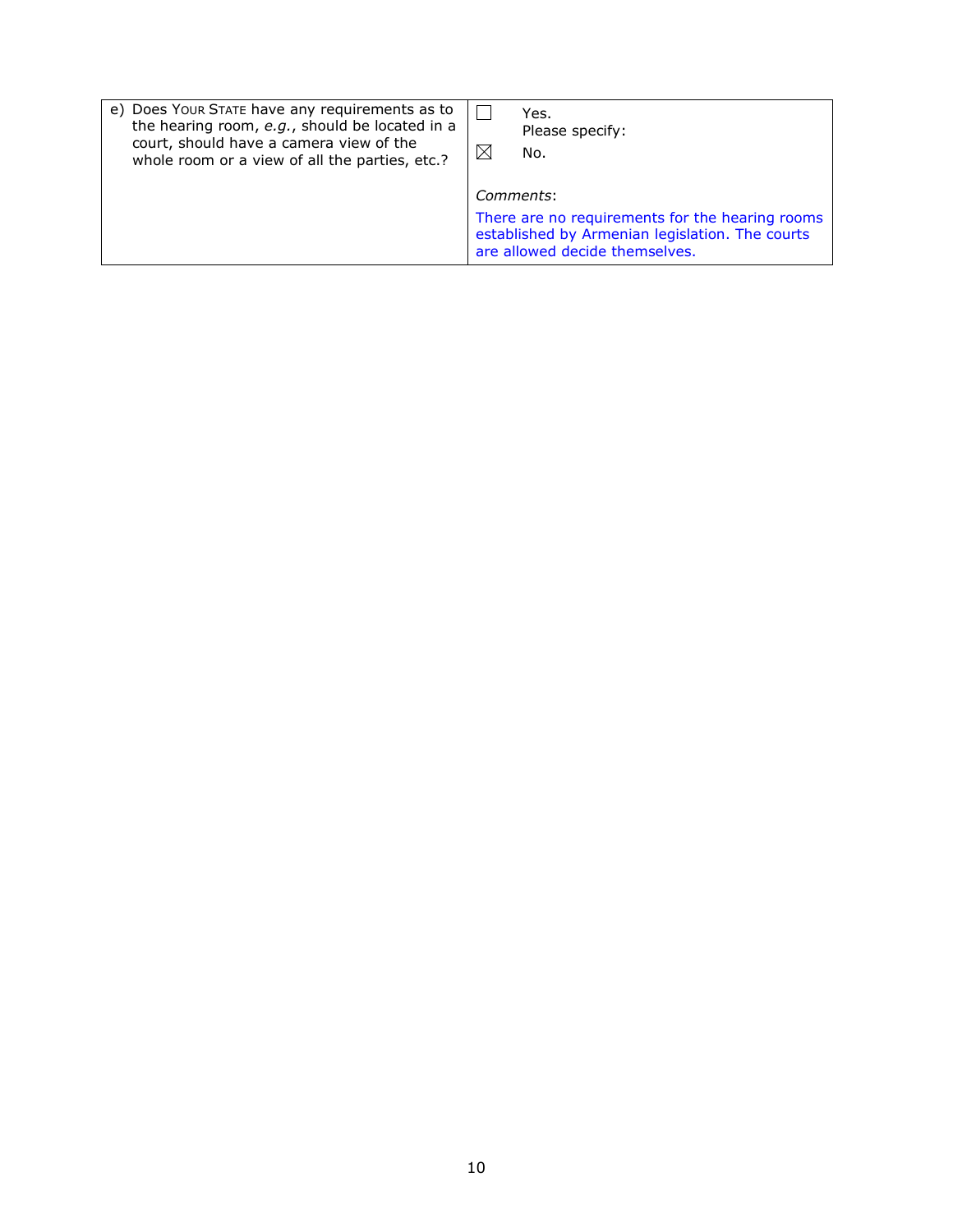| e) Does Your STATE have any requirements as to | Yes.                                                                                                                                              |
|------------------------------------------------|---------------------------------------------------------------------------------------------------------------------------------------------------|
| the hearing room, e.g., should be located in a | Please specify:                                                                                                                                   |
| court, should have a camera view of the        | ⋉                                                                                                                                                 |
| whole room or a view of all the parties, etc.? | No.                                                                                                                                               |
|                                                | Comments:<br>There are no requirements for the hearing rooms<br>established by Armenian legislation. The courts<br>are allowed decide themselves. |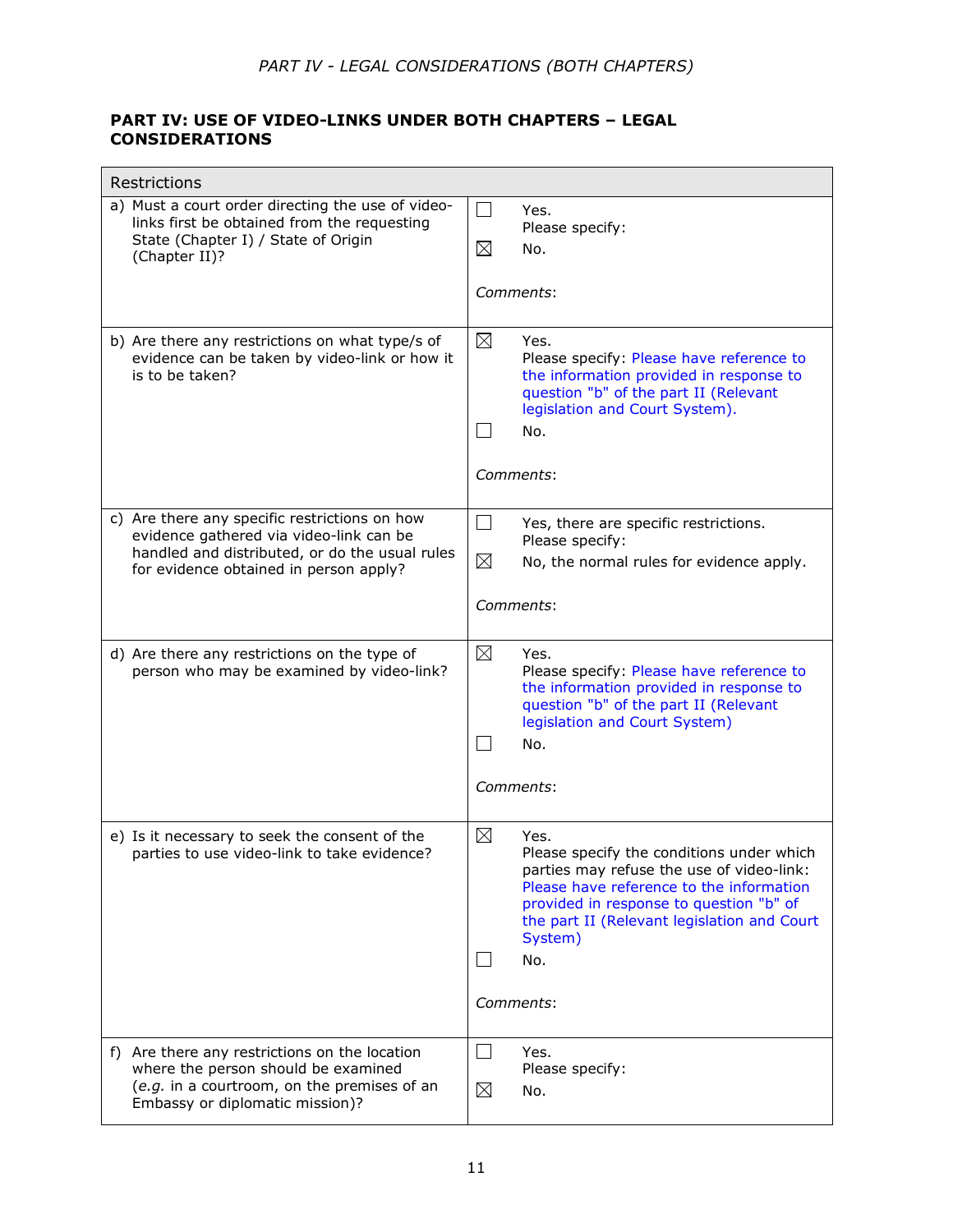## **PART IV: USE OF VIDEO-LINKS UNDER BOTH CHAPTERS – LEGAL CONSIDERATIONS**

| Restrictions                                                                                                                                                                         |                                                                                                                                                                                                                                                                          |  |  |
|--------------------------------------------------------------------------------------------------------------------------------------------------------------------------------------|--------------------------------------------------------------------------------------------------------------------------------------------------------------------------------------------------------------------------------------------------------------------------|--|--|
| a) Must a court order directing the use of video-<br>links first be obtained from the requesting<br>State (Chapter I) / State of Origin<br>(Chapter II)?                             | $\vert \ \ \vert$<br>Yes.<br>Please specify:<br>⊠<br>No.<br><i>Comments:</i>                                                                                                                                                                                             |  |  |
| b) Are there any restrictions on what type/s of<br>evidence can be taken by video-link or how it<br>is to be taken?                                                                  | ⊠<br>Yes.<br>Please specify: Please have reference to<br>the information provided in response to<br>question "b" of the part II (Relevant<br>legislation and Court System).<br>No.<br>Comments:                                                                          |  |  |
| c) Are there any specific restrictions on how<br>evidence gathered via video-link can be<br>handled and distributed, or do the usual rules<br>for evidence obtained in person apply? | $\Box$<br>Yes, there are specific restrictions.<br>Please specify:<br>⊠<br>No, the normal rules for evidence apply.<br>Comments:                                                                                                                                         |  |  |
| d) Are there any restrictions on the type of<br>person who may be examined by video-link?                                                                                            | $\boxtimes$<br>Yes.<br>Please specify: Please have reference to<br>the information provided in response to<br>question "b" of the part II (Relevant<br>legislation and Court System)<br>No.<br>Comments:                                                                 |  |  |
| e) Is it necessary to seek the consent of the<br>parties to use video-link to take evidence?                                                                                         | ⊠<br>Yes.<br>Please specify the conditions under which<br>parties may refuse the use of video-link:<br>Please have reference to the information<br>provided in response to question "b" of<br>the part II (Relevant legislation and Court<br>System)<br>No.<br>Comments: |  |  |
| f) Are there any restrictions on the location<br>where the person should be examined<br>(e.g. in a courtroom, on the premises of an<br>Embassy or diplomatic mission)?               | $\mathcal{L}_{\mathcal{A}}$<br>Yes.<br>Please specify:<br>⊠<br>No.                                                                                                                                                                                                       |  |  |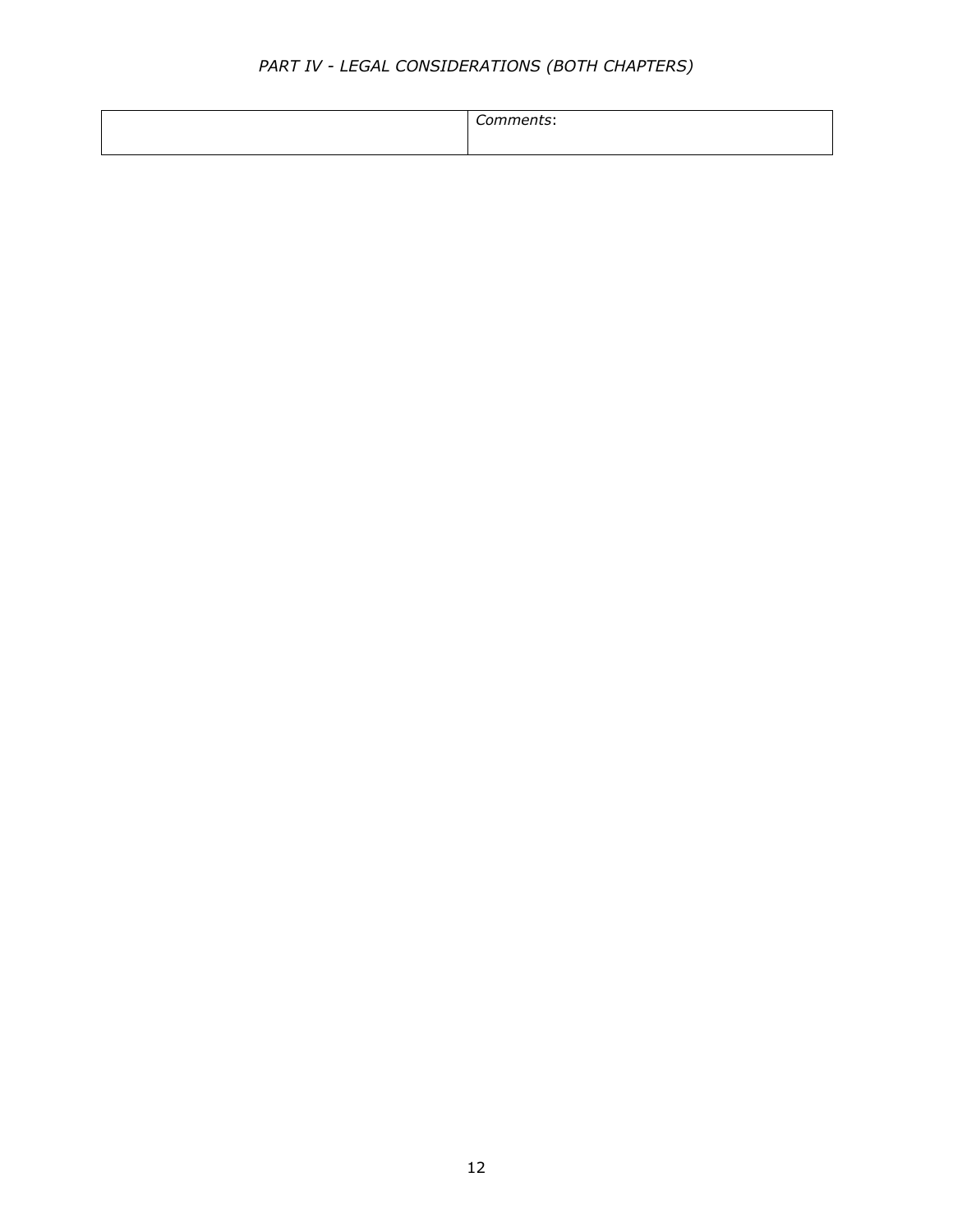# *PART IV - LEGAL CONSIDERATIONS (BOTH CHAPTERS)*

|--|--|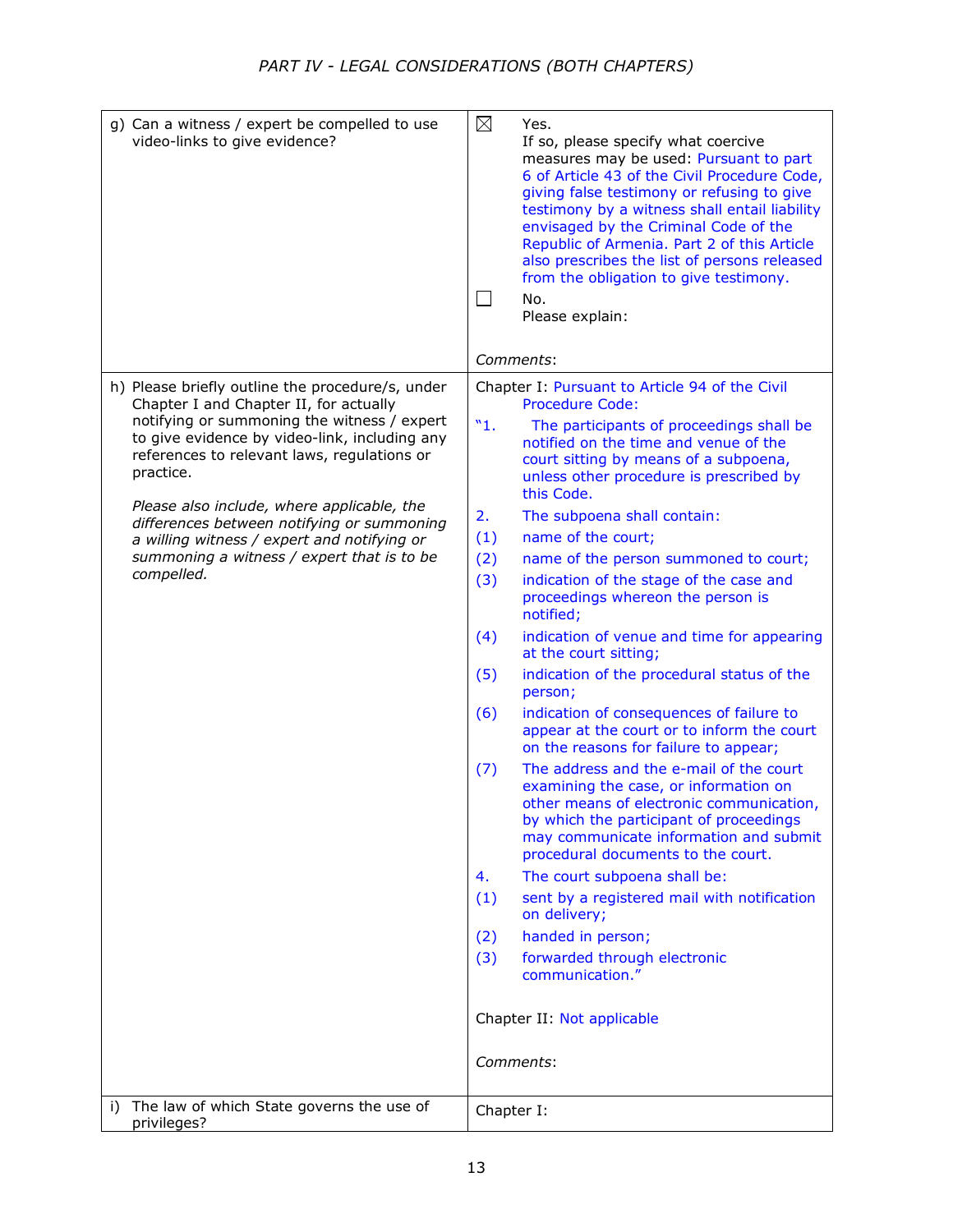| g) Can a witness / expert be compelled to use<br>video-links to give evidence?                                                                                                                                                                                                                                                                                                                                                                                | ⊠<br>Yes.<br>If so, please specify what coercive<br>measures may be used: Pursuant to part<br>6 of Article 43 of the Civil Procedure Code,<br>giving false testimony or refusing to give<br>testimony by a witness shall entail liability<br>envisaged by the Criminal Code of the<br>Republic of Armenia. Part 2 of this Article<br>also prescribes the list of persons released<br>from the obligation to give testimony.<br>No.<br>L<br>Please explain:                                                                                                                                                                                                                                                                                                                                                                                                                                                                                                                                                                                                                                                                                                                                                                                                                             |
|---------------------------------------------------------------------------------------------------------------------------------------------------------------------------------------------------------------------------------------------------------------------------------------------------------------------------------------------------------------------------------------------------------------------------------------------------------------|----------------------------------------------------------------------------------------------------------------------------------------------------------------------------------------------------------------------------------------------------------------------------------------------------------------------------------------------------------------------------------------------------------------------------------------------------------------------------------------------------------------------------------------------------------------------------------------------------------------------------------------------------------------------------------------------------------------------------------------------------------------------------------------------------------------------------------------------------------------------------------------------------------------------------------------------------------------------------------------------------------------------------------------------------------------------------------------------------------------------------------------------------------------------------------------------------------------------------------------------------------------------------------------|
|                                                                                                                                                                                                                                                                                                                                                                                                                                                               | Comments:                                                                                                                                                                                                                                                                                                                                                                                                                                                                                                                                                                                                                                                                                                                                                                                                                                                                                                                                                                                                                                                                                                                                                                                                                                                                              |
| h) Please briefly outline the procedure/s, under<br>Chapter I and Chapter II, for actually<br>notifying or summoning the witness / expert<br>to give evidence by video-link, including any<br>references to relevant laws, regulations or<br>practice.<br>Please also include, where applicable, the<br>differences between notifying or summoning<br>a willing witness / expert and notifying or<br>summoning a witness / expert that is to be<br>compelled. | Chapter I: Pursuant to Article 94 of the Civil<br><b>Procedure Code:</b><br>"1.<br>The participants of proceedings shall be<br>notified on the time and venue of the<br>court sitting by means of a subpoena,<br>unless other procedure is prescribed by<br>this Code.<br>The subpoena shall contain:<br>2.<br>(1)<br>name of the court;<br>(2)<br>name of the person summoned to court;<br>(3)<br>indication of the stage of the case and<br>proceedings whereon the person is<br>notified;<br>(4)<br>indication of venue and time for appearing<br>at the court sitting;<br>(5)<br>indication of the procedural status of the<br>person;<br>(6)<br>indication of consequences of failure to<br>appear at the court or to inform the court<br>on the reasons for failure to appear;<br>The address and the e-mail of the court<br>(7)<br>examining the case, or information on<br>other means of electronic communication.<br>by which the participant of proceedings<br>may communicate information and submit<br>procedural documents to the court.<br>The court subpoena shall be:<br>4.<br>(1)<br>sent by a registered mail with notification<br>on delivery;<br>handed in person;<br>(2)<br>(3)<br>forwarded through electronic<br>communication."<br>Chapter II: Not applicable |
|                                                                                                                                                                                                                                                                                                                                                                                                                                                               | Comments:                                                                                                                                                                                                                                                                                                                                                                                                                                                                                                                                                                                                                                                                                                                                                                                                                                                                                                                                                                                                                                                                                                                                                                                                                                                                              |
| The law of which State governs the use of<br>i)<br>privileges?                                                                                                                                                                                                                                                                                                                                                                                                | Chapter I:                                                                                                                                                                                                                                                                                                                                                                                                                                                                                                                                                                                                                                                                                                                                                                                                                                                                                                                                                                                                                                                                                                                                                                                                                                                                             |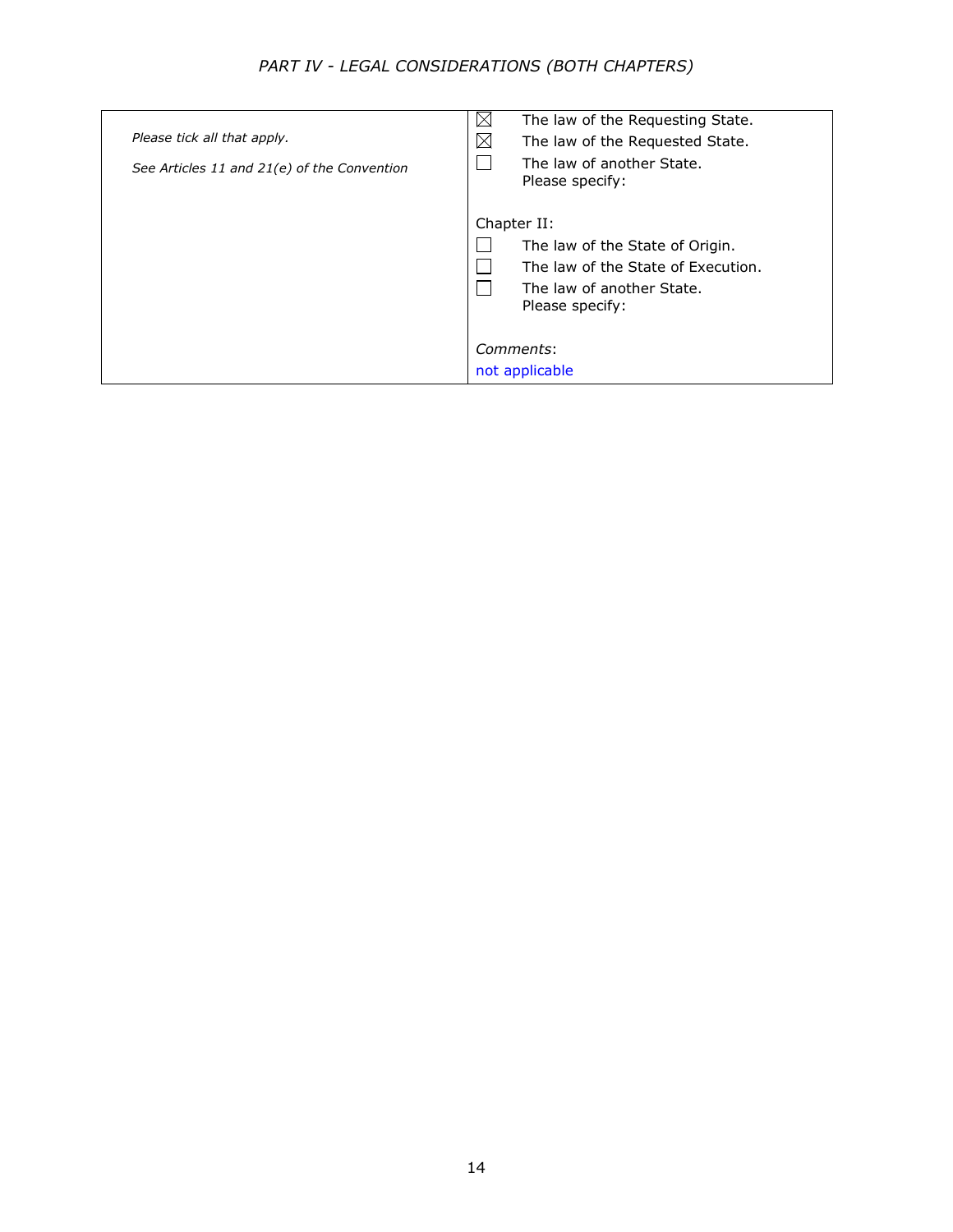# *PART IV - LEGAL CONSIDERATIONS (BOTH CHAPTERS)*

| Please tick all that apply.<br>See Articles 11 and 21(e) of the Convention | $\boxtimes$<br>The law of the Requesting State.<br>$\boxtimes$<br>The law of the Requested State.<br>The law of another State.<br>Please specify: |
|----------------------------------------------------------------------------|---------------------------------------------------------------------------------------------------------------------------------------------------|
|                                                                            | Chapter II:<br>The law of the State of Origin.<br>The law of the State of Execution.<br>The law of another State.<br>Please specify:              |
|                                                                            | Comments:<br>not applicable                                                                                                                       |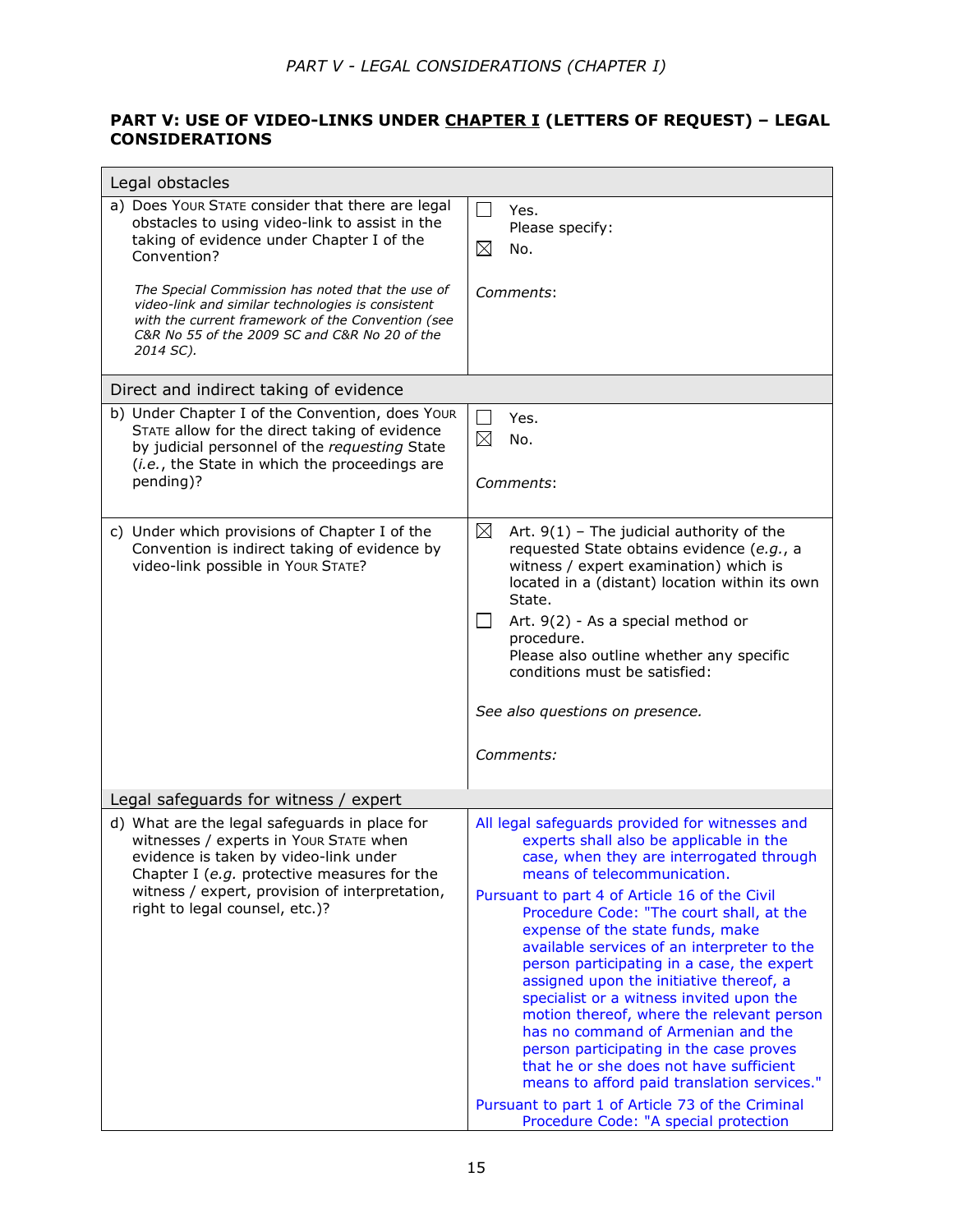## **PART V: USE OF VIDEO-LINKS UNDER CHAPTER I (LETTERS OF REQUEST) – LEGAL CONSIDERATIONS**

| Legal obstacles                                                                                                                                                                                                                                                                                                                                                                            |                                                                                                                                                                                                                                                                                                                                                                                                                                                                                                                                                                                                                                                                                                                                                                                                                 |  |  |
|--------------------------------------------------------------------------------------------------------------------------------------------------------------------------------------------------------------------------------------------------------------------------------------------------------------------------------------------------------------------------------------------|-----------------------------------------------------------------------------------------------------------------------------------------------------------------------------------------------------------------------------------------------------------------------------------------------------------------------------------------------------------------------------------------------------------------------------------------------------------------------------------------------------------------------------------------------------------------------------------------------------------------------------------------------------------------------------------------------------------------------------------------------------------------------------------------------------------------|--|--|
| a) Does Your STATE consider that there are legal<br>obstacles to using video-link to assist in the<br>taking of evidence under Chapter I of the<br>Convention?<br>The Special Commission has noted that the use of<br>video-link and similar technologies is consistent<br>with the current framework of the Convention (see<br>C&R No 55 of the 2009 SC and C&R No 20 of the<br>2014 SC). | $\overline{\phantom{a}}$<br>Yes.<br>Please specify:<br>⊠<br>No.<br>Comments:                                                                                                                                                                                                                                                                                                                                                                                                                                                                                                                                                                                                                                                                                                                                    |  |  |
| Direct and indirect taking of evidence                                                                                                                                                                                                                                                                                                                                                     |                                                                                                                                                                                                                                                                                                                                                                                                                                                                                                                                                                                                                                                                                                                                                                                                                 |  |  |
| b) Under Chapter I of the Convention, does Your<br>STATE allow for the direct taking of evidence<br>by judicial personnel of the requesting State<br>(i.e., the State in which the proceedings are<br>pending)?                                                                                                                                                                            | Yes.<br>⊠<br>No.<br><i>Comments:</i>                                                                                                                                                                                                                                                                                                                                                                                                                                                                                                                                                                                                                                                                                                                                                                            |  |  |
| c) Under which provisions of Chapter I of the<br>Convention is indirect taking of evidence by<br>video-link possible in Your STATE?                                                                                                                                                                                                                                                        | ⊠<br>Art. $9(1)$ - The judicial authority of the<br>requested State obtains evidence (e.g., a<br>witness / expert examination) which is<br>located in a (distant) location within its own<br>State.<br>Art. 9(2) - As a special method or<br>procedure.<br>Please also outline whether any specific<br>conditions must be satisfied:<br>See also questions on presence.<br><i>Comments:</i>                                                                                                                                                                                                                                                                                                                                                                                                                     |  |  |
| Legal safeguards for witness / expert                                                                                                                                                                                                                                                                                                                                                      |                                                                                                                                                                                                                                                                                                                                                                                                                                                                                                                                                                                                                                                                                                                                                                                                                 |  |  |
| d) What are the legal safeguards in place for<br>witnesses / experts in Your STATE when<br>evidence is taken by video-link under<br>Chapter I (e.g. protective measures for the<br>witness / expert, provision of interpretation,<br>right to legal counsel, etc.)?                                                                                                                        | All legal safeguards provided for witnesses and<br>experts shall also be applicable in the<br>case, when they are interrogated through<br>means of telecommunication.<br>Pursuant to part 4 of Article 16 of the Civil<br>Procedure Code: "The court shall, at the<br>expense of the state funds, make<br>available services of an interpreter to the<br>person participating in a case, the expert<br>assigned upon the initiative thereof, a<br>specialist or a witness invited upon the<br>motion thereof, where the relevant person<br>has no command of Armenian and the<br>person participating in the case proves<br>that he or she does not have sufficient<br>means to afford paid translation services."<br>Pursuant to part 1 of Article 73 of the Criminal<br>Procedure Code: "A special protection |  |  |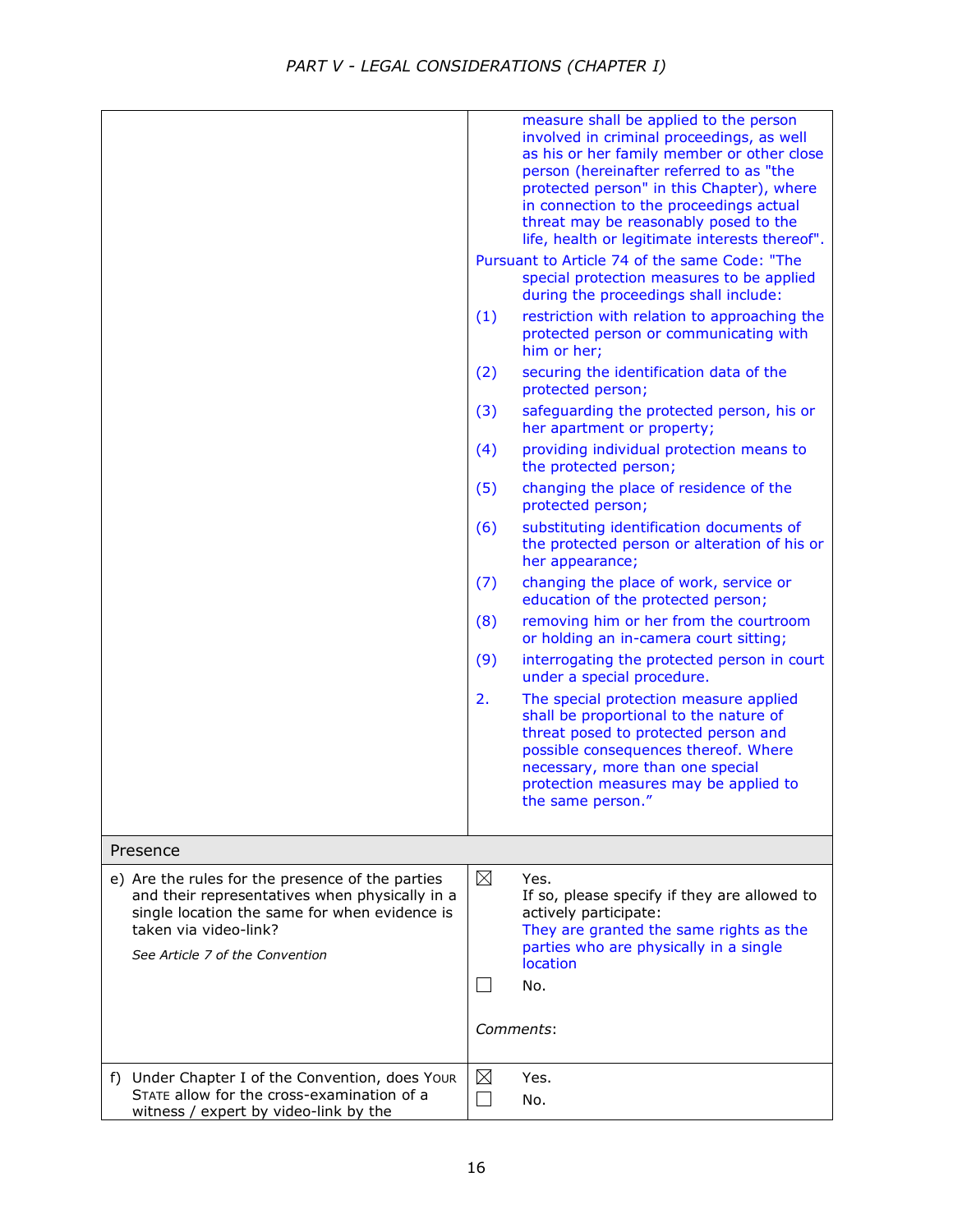|                                                                                                                                                                                                                 | measure shall be applied to the person<br>involved in criminal proceedings, as well<br>as his or her family member or other close<br>person (hereinafter referred to as "the<br>protected person" in this Chapter), where<br>in connection to the proceedings actual<br>threat may be reasonably posed to the<br>life, health or legitimate interests thereof".<br>Pursuant to Article 74 of the same Code: "The<br>special protection measures to be applied<br>during the proceedings shall include:<br>(1)<br>restriction with relation to approaching the<br>protected person or communicating with<br>him or her;<br>(2)<br>securing the identification data of the<br>protected person;<br>(3)<br>safeguarding the protected person, his or<br>her apartment or property;<br>(4)<br>providing individual protection means to<br>the protected person;<br>(5)<br>changing the place of residence of the<br>protected person;<br>(6)<br>substituting identification documents of<br>the protected person or alteration of his or<br>her appearance;<br>(7)<br>changing the place of work, service or<br>education of the protected person;<br>(8)<br>removing him or her from the courtroom<br>or holding an in-camera court sitting;<br>(9)<br>interrogating the protected person in court<br>under a special procedure.<br>2.<br>The special protection measure applied<br>shall be proportional to the nature of<br>threat posed to protected person and<br>possible consequences thereof. Where<br>necessary, more than one special<br>protection measures may be applied to<br>the same person." |
|-----------------------------------------------------------------------------------------------------------------------------------------------------------------------------------------------------------------|-----------------------------------------------------------------------------------------------------------------------------------------------------------------------------------------------------------------------------------------------------------------------------------------------------------------------------------------------------------------------------------------------------------------------------------------------------------------------------------------------------------------------------------------------------------------------------------------------------------------------------------------------------------------------------------------------------------------------------------------------------------------------------------------------------------------------------------------------------------------------------------------------------------------------------------------------------------------------------------------------------------------------------------------------------------------------------------------------------------------------------------------------------------------------------------------------------------------------------------------------------------------------------------------------------------------------------------------------------------------------------------------------------------------------------------------------------------------------------------------------------------------------------------------------------------------------------------------------------------|
| Presence                                                                                                                                                                                                        |                                                                                                                                                                                                                                                                                                                                                                                                                                                                                                                                                                                                                                                                                                                                                                                                                                                                                                                                                                                                                                                                                                                                                                                                                                                                                                                                                                                                                                                                                                                                                                                                           |
| e) Are the rules for the presence of the parties<br>and their representatives when physically in a<br>single location the same for when evidence is<br>taken via video-link?<br>See Article 7 of the Convention | ⊠<br>Yes.<br>If so, please specify if they are allowed to<br>actively participate:<br>They are granted the same rights as the<br>parties who are physically in a single<br>location<br>No.<br>Comments:                                                                                                                                                                                                                                                                                                                                                                                                                                                                                                                                                                                                                                                                                                                                                                                                                                                                                                                                                                                                                                                                                                                                                                                                                                                                                                                                                                                                   |
| f) Under Chapter I of the Convention, does Your<br>STATE allow for the cross-examination of a<br>witness / expert by video-link by the                                                                          | ⊠<br>Yes.<br>No.                                                                                                                                                                                                                                                                                                                                                                                                                                                                                                                                                                                                                                                                                                                                                                                                                                                                                                                                                                                                                                                                                                                                                                                                                                                                                                                                                                                                                                                                                                                                                                                          |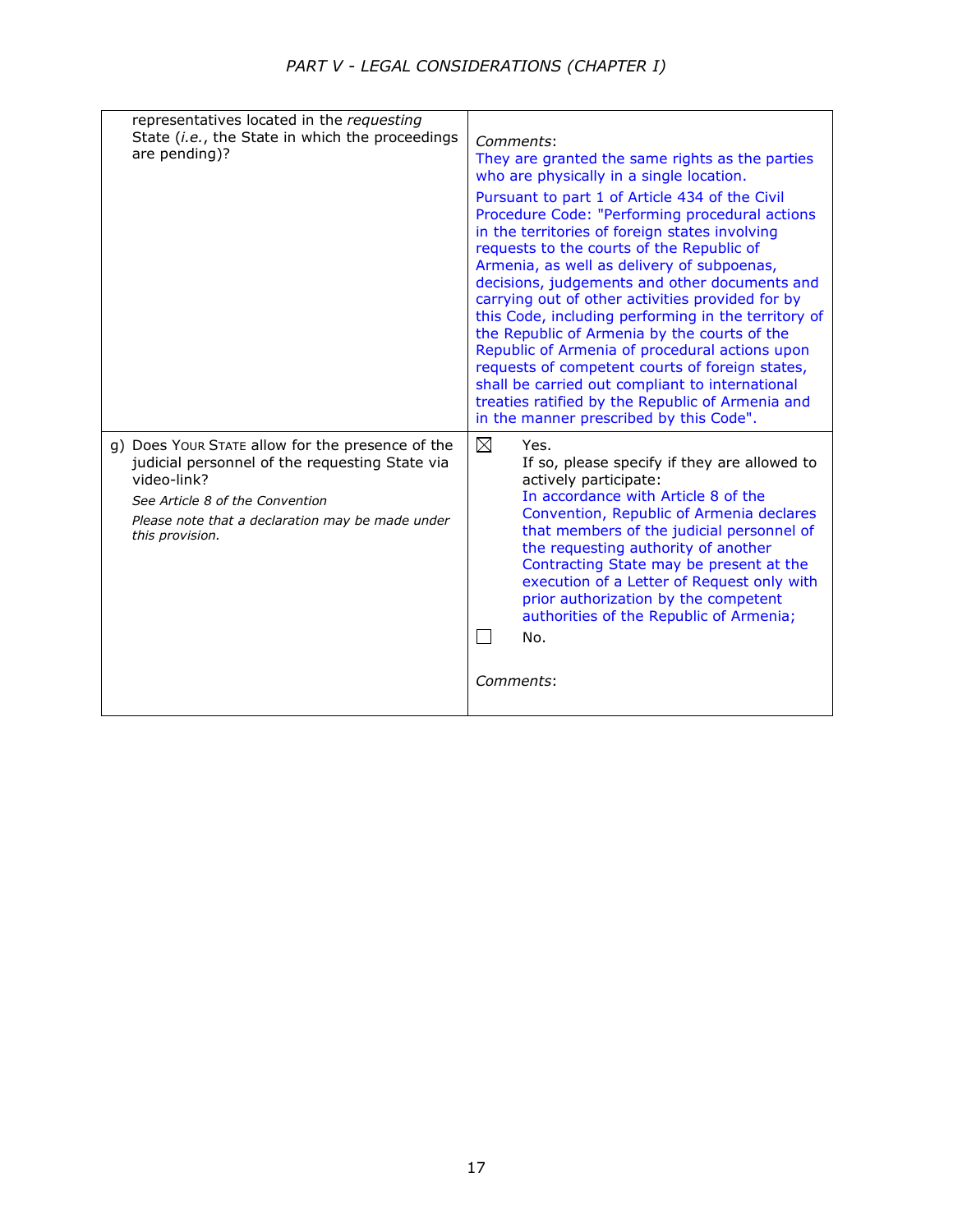| representatives located in the requesting<br>State (i.e., the State in which the proceedings<br>are pending)?                                                                                                               | Comments:<br>They are granted the same rights as the parties<br>who are physically in a single location.<br>Pursuant to part 1 of Article 434 of the Civil<br>Procedure Code: "Performing procedural actions<br>in the territories of foreign states involving<br>requests to the courts of the Republic of<br>Armenia, as well as delivery of subpoenas,<br>decisions, judgements and other documents and<br>carrying out of other activities provided for by<br>this Code, including performing in the territory of<br>the Republic of Armenia by the courts of the<br>Republic of Armenia of procedural actions upon<br>requests of competent courts of foreign states,<br>shall be carried out compliant to international<br>treaties ratified by the Republic of Armenia and<br>in the manner prescribed by this Code". |
|-----------------------------------------------------------------------------------------------------------------------------------------------------------------------------------------------------------------------------|------------------------------------------------------------------------------------------------------------------------------------------------------------------------------------------------------------------------------------------------------------------------------------------------------------------------------------------------------------------------------------------------------------------------------------------------------------------------------------------------------------------------------------------------------------------------------------------------------------------------------------------------------------------------------------------------------------------------------------------------------------------------------------------------------------------------------|
| g) Does Your STATE allow for the presence of the<br>judicial personnel of the requesting State via<br>video-link?<br>See Article 8 of the Convention<br>Please note that a declaration may be made under<br>this provision. | $\boxtimes$<br>Yes.<br>If so, please specify if they are allowed to<br>actively participate:<br>In accordance with Article 8 of the<br>Convention, Republic of Armenia declares<br>that members of the judicial personnel of<br>the requesting authority of another<br>Contracting State may be present at the<br>execution of a Letter of Request only with<br>prior authorization by the competent<br>authorities of the Republic of Armenia;<br>No.<br>Comments:                                                                                                                                                                                                                                                                                                                                                          |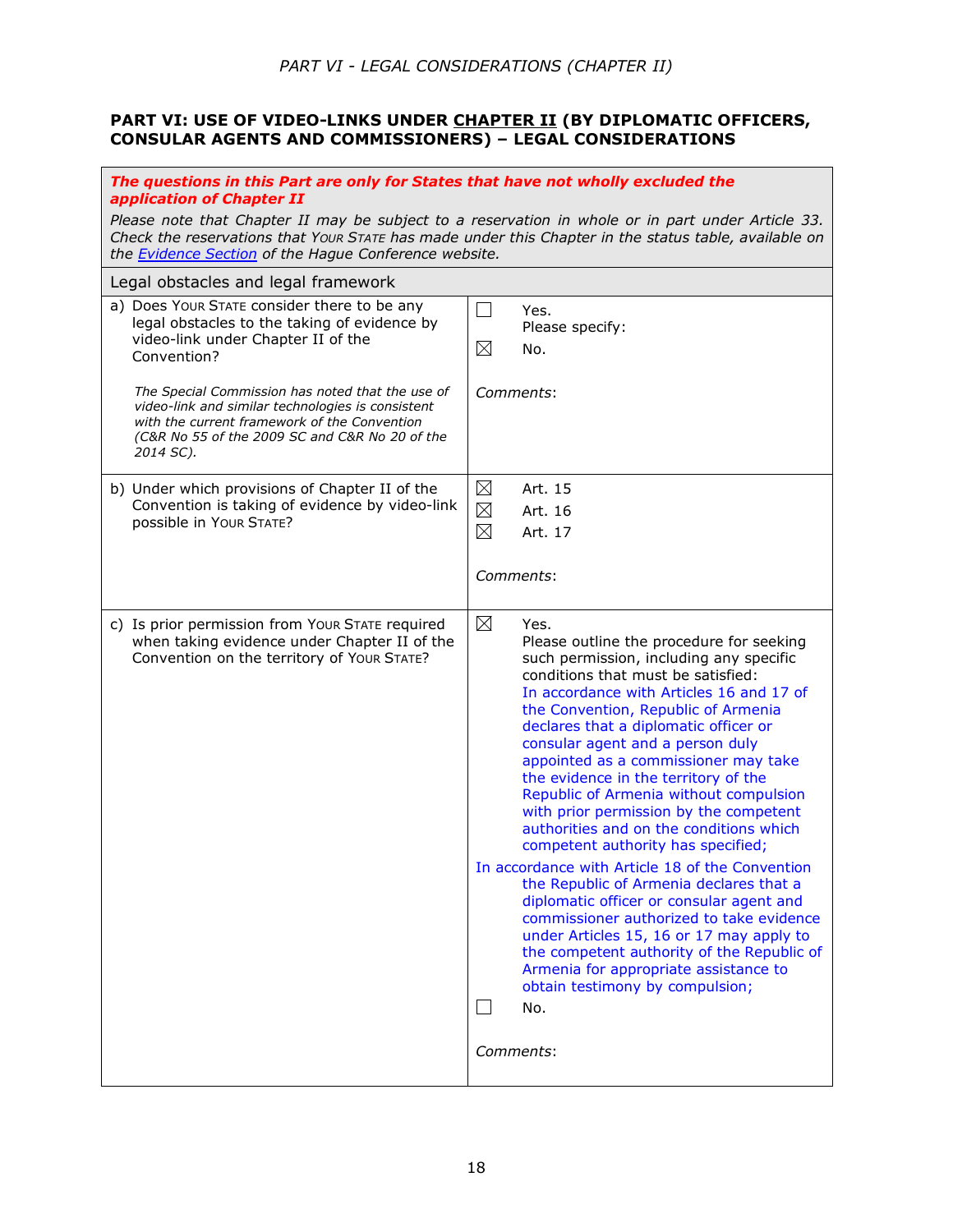### **PART VI: USE OF VIDEO-LINKS UNDER CHAPTER II (BY DIPLOMATIC OFFICERS, CONSULAR AGENTS AND COMMISSIONERS) – LEGAL CONSIDERATIONS**

| The questions in this Part are only for States that have not wholly excluded the<br>application of Chapter II                                                                                                                                                             |                                                                                                                                                                                                                                                                                                                                                                                                                                                                                                                                                                                                                                                                                                                                                                                                                                                                                                                                                                            |
|---------------------------------------------------------------------------------------------------------------------------------------------------------------------------------------------------------------------------------------------------------------------------|----------------------------------------------------------------------------------------------------------------------------------------------------------------------------------------------------------------------------------------------------------------------------------------------------------------------------------------------------------------------------------------------------------------------------------------------------------------------------------------------------------------------------------------------------------------------------------------------------------------------------------------------------------------------------------------------------------------------------------------------------------------------------------------------------------------------------------------------------------------------------------------------------------------------------------------------------------------------------|
| Please note that Chapter II may be subject to a reservation in whole or in part under Article 33.<br>Check the reservations that Your STATE has made under this Chapter in the status table, available on<br>the <b>Evidence Section</b> of the Hague Conference website. |                                                                                                                                                                                                                                                                                                                                                                                                                                                                                                                                                                                                                                                                                                                                                                                                                                                                                                                                                                            |
| Legal obstacles and legal framework                                                                                                                                                                                                                                       |                                                                                                                                                                                                                                                                                                                                                                                                                                                                                                                                                                                                                                                                                                                                                                                                                                                                                                                                                                            |
| a) Does Your STATE consider there to be any<br>legal obstacles to the taking of evidence by<br>video-link under Chapter II of the<br>Convention?                                                                                                                          | $\Box$<br>Yes.<br>Please specify:<br>⊠<br>No.                                                                                                                                                                                                                                                                                                                                                                                                                                                                                                                                                                                                                                                                                                                                                                                                                                                                                                                              |
| The Special Commission has noted that the use of<br>video-link and similar technologies is consistent<br>with the current framework of the Convention<br>(C&R No 55 of the 2009 SC and C&R No 20 of the<br>2014 SC).                                                      | Comments:                                                                                                                                                                                                                                                                                                                                                                                                                                                                                                                                                                                                                                                                                                                                                                                                                                                                                                                                                                  |
| b) Under which provisions of Chapter II of the                                                                                                                                                                                                                            | $\boxtimes$<br>Art. 15                                                                                                                                                                                                                                                                                                                                                                                                                                                                                                                                                                                                                                                                                                                                                                                                                                                                                                                                                     |
| Convention is taking of evidence by video-link<br>possible in Your STATE?                                                                                                                                                                                                 | $\boxtimes$<br>Art. 16                                                                                                                                                                                                                                                                                                                                                                                                                                                                                                                                                                                                                                                                                                                                                                                                                                                                                                                                                     |
|                                                                                                                                                                                                                                                                           | $\boxtimes$<br>Art. 17                                                                                                                                                                                                                                                                                                                                                                                                                                                                                                                                                                                                                                                                                                                                                                                                                                                                                                                                                     |
|                                                                                                                                                                                                                                                                           | Comments:                                                                                                                                                                                                                                                                                                                                                                                                                                                                                                                                                                                                                                                                                                                                                                                                                                                                                                                                                                  |
| c) Is prior permission from Your STATE required<br>when taking evidence under Chapter II of the<br>Convention on the territory of Your STATE?                                                                                                                             | $\boxtimes$<br>Yes.<br>Please outline the procedure for seeking<br>such permission, including any specific<br>conditions that must be satisfied:<br>In accordance with Articles 16 and 17 of<br>the Convention, Republic of Armenia<br>declares that a diplomatic officer or<br>consular agent and a person duly<br>appointed as a commissioner may take<br>the evidence in the territory of the<br>Republic of Armenia without compulsion<br>with prior permission by the competent<br>authorities and on the conditions which<br>competent authority has specified;<br>In accordance with Article 18 of the Convention<br>the Republic of Armenia declares that a<br>diplomatic officer or consular agent and<br>commissioner authorized to take evidence<br>under Articles 15, 16 or 17 may apply to<br>the competent authority of the Republic of<br>Armenia for appropriate assistance to<br>obtain testimony by compulsion;<br>$\vert \ \ \vert$<br>No.<br>Comments: |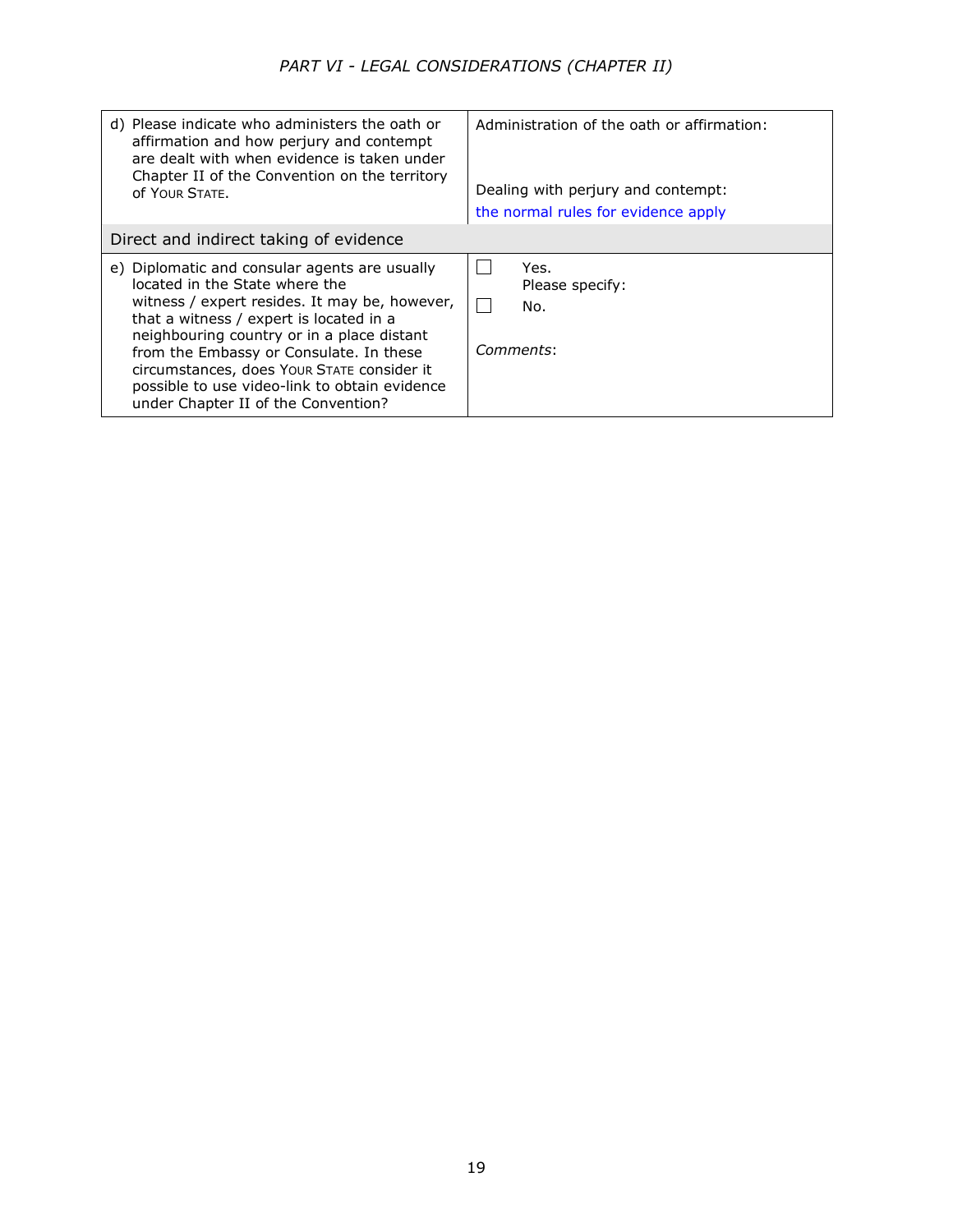| d) Please indicate who administers the oath or<br>affirmation and how perjury and contempt<br>are dealt with when evidence is taken under<br>Chapter II of the Convention on the territory<br>OF YOUR STATE.                                                                                                                                                                                               | Administration of the oath or affirmation:<br>Dealing with perjury and contempt:<br>the normal rules for evidence apply |
|------------------------------------------------------------------------------------------------------------------------------------------------------------------------------------------------------------------------------------------------------------------------------------------------------------------------------------------------------------------------------------------------------------|-------------------------------------------------------------------------------------------------------------------------|
| Direct and indirect taking of evidence                                                                                                                                                                                                                                                                                                                                                                     |                                                                                                                         |
| e) Diplomatic and consular agents are usually<br>located in the State where the<br>witness / expert resides. It may be, however,<br>that a witness / expert is located in a<br>neighbouring country or in a place distant<br>from the Embassy or Consulate. In these<br>circumstances, does Your STATE consider it<br>possible to use video-link to obtain evidence<br>under Chapter II of the Convention? | Yes.<br>Please specify:<br>No.<br>Comments:                                                                             |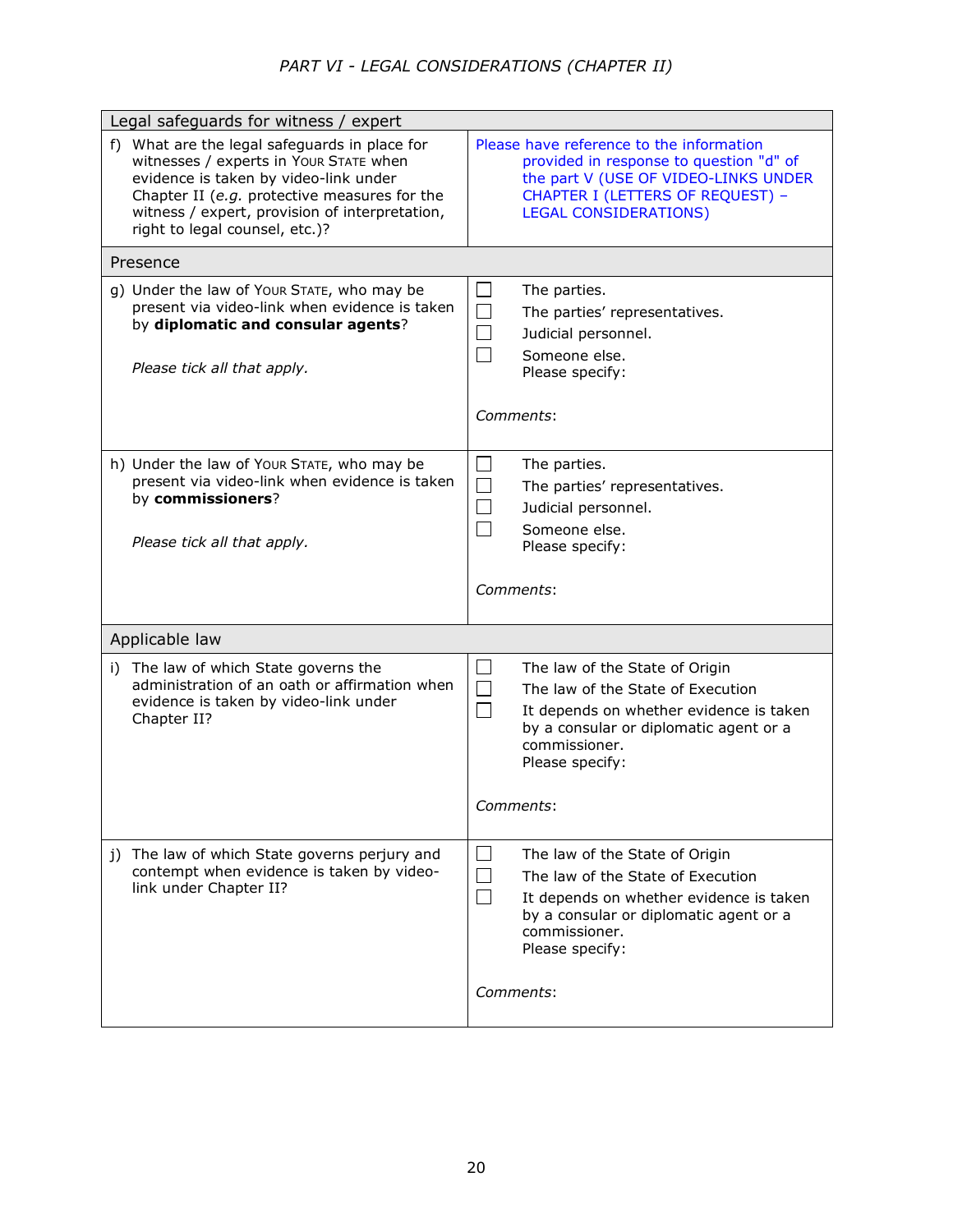# *PART VI - LEGAL CONSIDERATIONS (CHAPTER II)*

| Legal safeguards for witness / expert                                                                                                                                                                                                                                |                                                                                                                                                                                                                       |
|----------------------------------------------------------------------------------------------------------------------------------------------------------------------------------------------------------------------------------------------------------------------|-----------------------------------------------------------------------------------------------------------------------------------------------------------------------------------------------------------------------|
| f) What are the legal safeguards in place for<br>witnesses / experts in Your STATE when<br>evidence is taken by video-link under<br>Chapter II (e.g. protective measures for the<br>witness / expert, provision of interpretation,<br>right to legal counsel, etc.)? | Please have reference to the information<br>provided in response to question "d" of<br>the part V (USE OF VIDEO-LINKS UNDER<br>CHAPTER I (LETTERS OF REQUEST) -<br><b>LEGAL CONSIDERATIONS)</b>                       |
| Presence                                                                                                                                                                                                                                                             |                                                                                                                                                                                                                       |
| g) Under the law of Your STATE, who may be<br>present via video-link when evidence is taken<br>by diplomatic and consular agents?<br>Please tick all that apply.                                                                                                     | $\overline{\phantom{a}}$<br>The parties.<br>$\Box$<br>The parties' representatives.<br>$\mathcal{L}_{\mathcal{A}}$<br>Judicial personnel.<br>$\Box$<br>Someone else.<br>Please specify:                               |
|                                                                                                                                                                                                                                                                      | Comments:                                                                                                                                                                                                             |
| h) Under the law of Your STATE, who may be<br>present via video-link when evidence is taken<br>by commissioners?<br>Please tick all that apply.                                                                                                                      | $\Box$<br>The parties.<br>$\Box$<br>The parties' representatives.<br>$\Box$<br>Judicial personnel.<br>$\Box$<br>Someone else.<br>Please specify:                                                                      |
|                                                                                                                                                                                                                                                                      |                                                                                                                                                                                                                       |
|                                                                                                                                                                                                                                                                      | Comments:                                                                                                                                                                                                             |
| Applicable law                                                                                                                                                                                                                                                       |                                                                                                                                                                                                                       |
| i) The law of which State governs the<br>administration of an oath or affirmation when<br>evidence is taken by video-link under<br>Chapter II?                                                                                                                       | ⊔<br>The law of the State of Origin<br>$\Box$<br>The law of the State of Execution<br>$\Box$<br>It depends on whether evidence is taken<br>by a consular or diplomatic agent or a<br>commissioner.<br>Please specify: |
|                                                                                                                                                                                                                                                                      | Comments:                                                                                                                                                                                                             |
| j) The law of which State governs perjury and<br>contempt when evidence is taken by video-<br>link under Chapter II?                                                                                                                                                 | $\Box$<br>The law of the State of Origin<br>The law of the State of Execution<br>$\Box$<br>It depends on whether evidence is taken<br>by a consular or diplomatic agent or a<br>commissioner.<br>Please specify:      |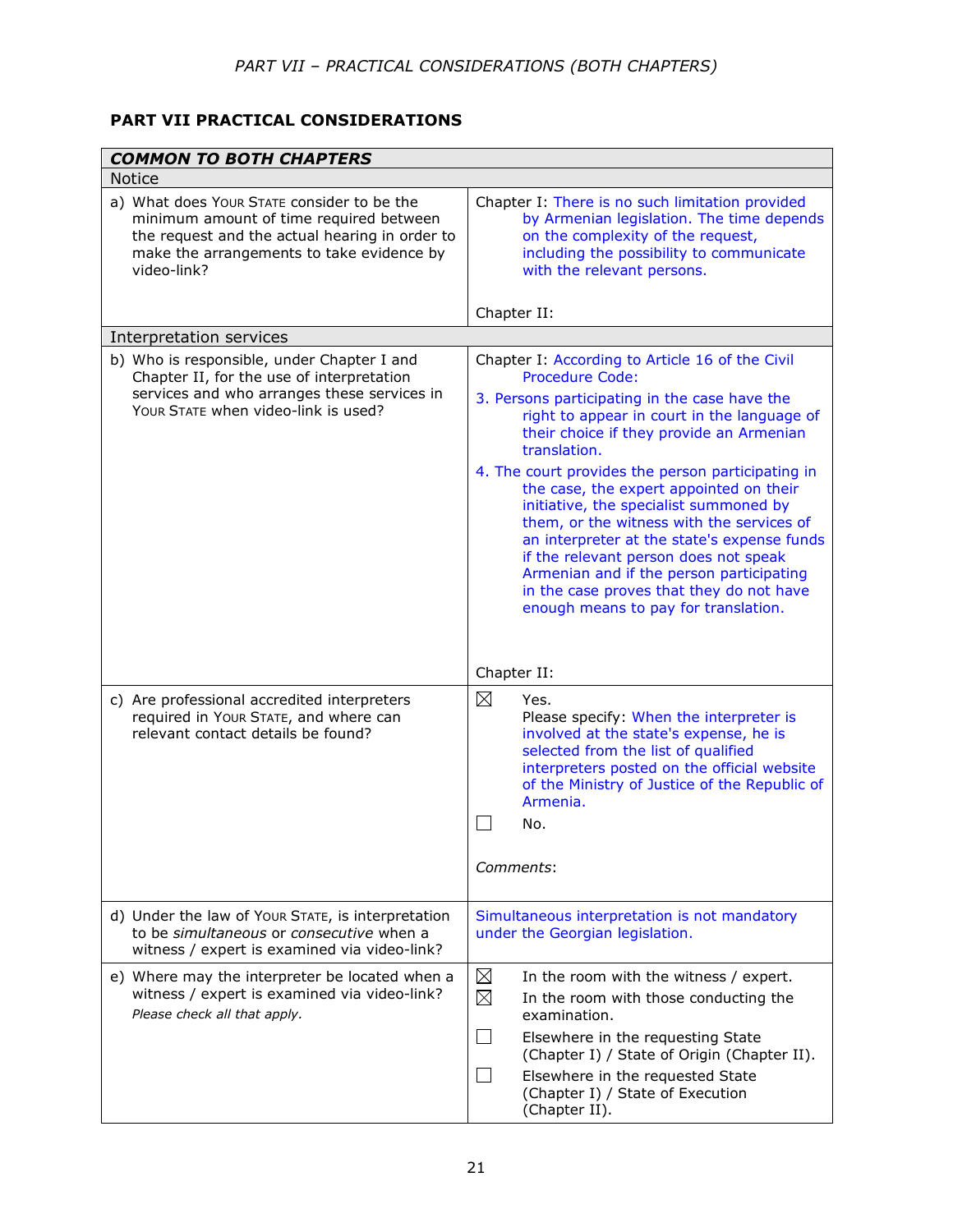# **PART VII PRACTICAL CONSIDERATIONS**

| <b>COMMON TO BOTH CHAPTERS</b>                                                                                                                                                                      |                                                                                                                                                                                                                                                                                                                                                                                                                                                                                                                                                                                                                                               |
|-----------------------------------------------------------------------------------------------------------------------------------------------------------------------------------------------------|-----------------------------------------------------------------------------------------------------------------------------------------------------------------------------------------------------------------------------------------------------------------------------------------------------------------------------------------------------------------------------------------------------------------------------------------------------------------------------------------------------------------------------------------------------------------------------------------------------------------------------------------------|
| <b>Notice</b>                                                                                                                                                                                       |                                                                                                                                                                                                                                                                                                                                                                                                                                                                                                                                                                                                                                               |
| a) What does Your STATE consider to be the<br>minimum amount of time required between<br>the request and the actual hearing in order to<br>make the arrangements to take evidence by<br>video-link? | Chapter I: There is no such limitation provided<br>by Armenian legislation. The time depends<br>on the complexity of the request,<br>including the possibility to communicate<br>with the relevant persons.<br>Chapter II:                                                                                                                                                                                                                                                                                                                                                                                                                    |
| Interpretation services                                                                                                                                                                             |                                                                                                                                                                                                                                                                                                                                                                                                                                                                                                                                                                                                                                               |
| b) Who is responsible, under Chapter I and<br>Chapter II, for the use of interpretation<br>services and who arranges these services in<br>YOUR STATE when video-link is used?                       | Chapter I: According to Article 16 of the Civil<br>Procedure Code:<br>3. Persons participating in the case have the<br>right to appear in court in the language of<br>their choice if they provide an Armenian<br>translation.<br>4. The court provides the person participating in<br>the case, the expert appointed on their<br>initiative, the specialist summoned by<br>them, or the witness with the services of<br>an interpreter at the state's expense funds<br>if the relevant person does not speak<br>Armenian and if the person participating<br>in the case proves that they do not have<br>enough means to pay for translation. |
|                                                                                                                                                                                                     | Chapter II:                                                                                                                                                                                                                                                                                                                                                                                                                                                                                                                                                                                                                                   |
| c) Are professional accredited interpreters<br>required in Your STATE, and where can<br>relevant contact details be found?                                                                          | ⊠<br>Yes.<br>Please specify: When the interpreter is<br>involved at the state's expense, he is<br>selected from the list of qualified<br>interpreters posted on the official website<br>of the Ministry of Justice of the Republic of<br>Armenia.<br>No.<br>Comments:                                                                                                                                                                                                                                                                                                                                                                         |
| d) Under the law of Your STATE, is interpretation<br>to be simultaneous or consecutive when a<br>witness / expert is examined via video-link?                                                       | Simultaneous interpretation is not mandatory<br>under the Georgian legislation.                                                                                                                                                                                                                                                                                                                                                                                                                                                                                                                                                               |
| e) Where may the interpreter be located when a<br>witness / expert is examined via video-link?<br>Please check all that apply.                                                                      | $\boxtimes$<br>In the room with the witness / expert.<br>$\boxtimes$<br>In the room with those conducting the<br>examination.<br>$\Box$<br>Elsewhere in the requesting State<br>(Chapter I) / State of Origin (Chapter II).<br>$\vert \ \ \vert$<br>Elsewhere in the requested State<br>(Chapter I) / State of Execution<br>(Chapter II).                                                                                                                                                                                                                                                                                                     |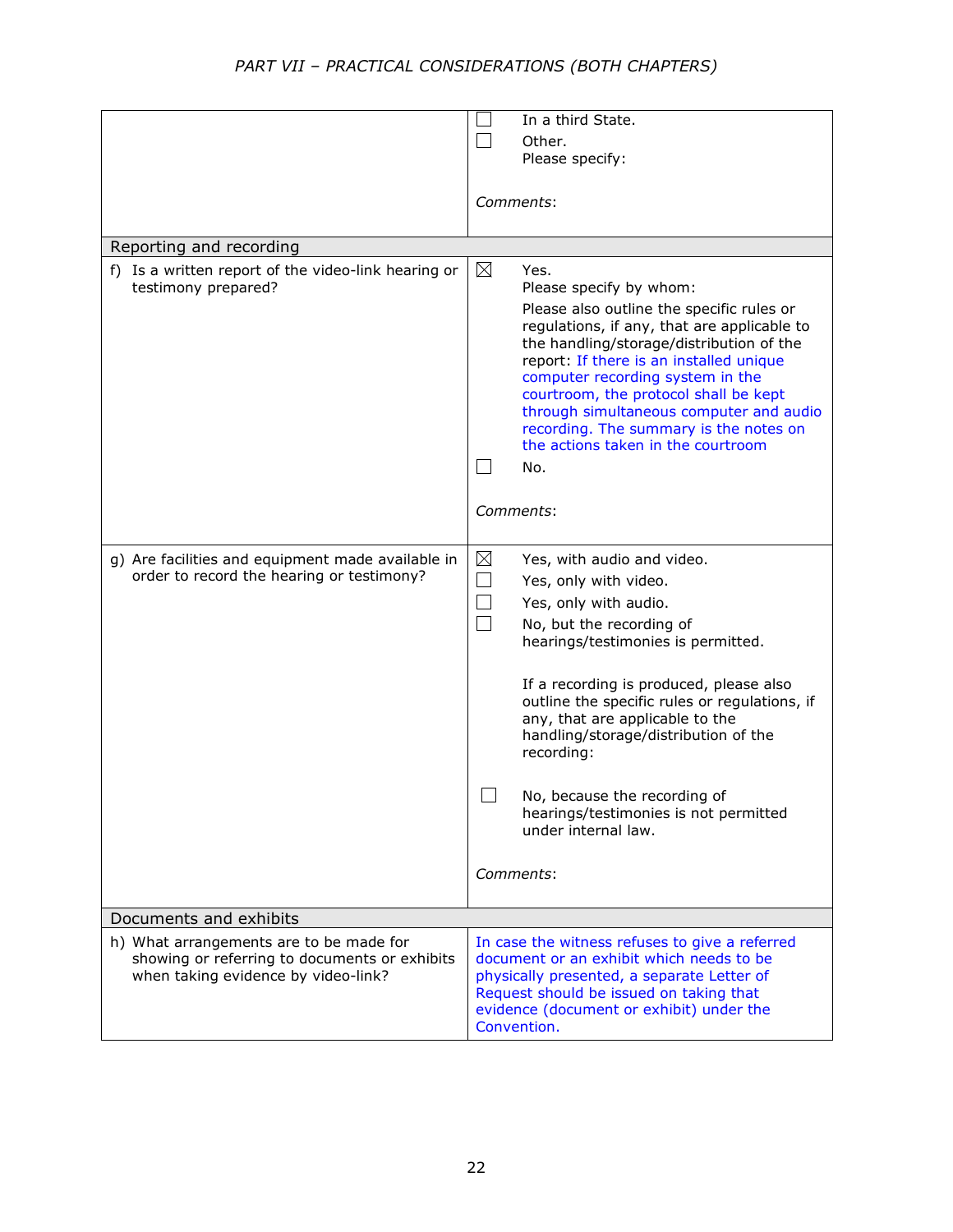|                                                                                                | In a third State.                                                                                                                                                                            |
|------------------------------------------------------------------------------------------------|----------------------------------------------------------------------------------------------------------------------------------------------------------------------------------------------|
|                                                                                                | Other.                                                                                                                                                                                       |
|                                                                                                | Please specify:                                                                                                                                                                              |
|                                                                                                |                                                                                                                                                                                              |
|                                                                                                | Comments:                                                                                                                                                                                    |
|                                                                                                |                                                                                                                                                                                              |
| Reporting and recording                                                                        |                                                                                                                                                                                              |
| f) Is a written report of the video-link hearing or<br>testimony prepared?                     | ⊠<br>Yes.<br>Please specify by whom:                                                                                                                                                         |
|                                                                                                | Please also outline the specific rules or<br>regulations, if any, that are applicable to                                                                                                     |
|                                                                                                | the handling/storage/distribution of the<br>report: If there is an installed unique<br>computer recording system in the<br>courtroom, the protocol shall be kept                             |
|                                                                                                | through simultaneous computer and audio<br>recording. The summary is the notes on<br>the actions taken in the courtroom                                                                      |
|                                                                                                | No.<br>$\sim$                                                                                                                                                                                |
|                                                                                                |                                                                                                                                                                                              |
|                                                                                                | Comments:                                                                                                                                                                                    |
|                                                                                                |                                                                                                                                                                                              |
| g) Are facilities and equipment made available in<br>order to record the hearing or testimony? | $\boxtimes$<br>Yes, with audio and video.                                                                                                                                                    |
|                                                                                                | $\overline{\phantom{a}}$<br>Yes, only with video.                                                                                                                                            |
|                                                                                                | Yes, only with audio.                                                                                                                                                                        |
|                                                                                                | No, but the recording of<br>hearings/testimonies is permitted.                                                                                                                               |
|                                                                                                | If a recording is produced, please also<br>outline the specific rules or regulations, if<br>any, that are applicable to the<br>handling/storage/distribution of the<br>recording:            |
|                                                                                                | No, because the recording of<br>ᆸ<br>hearings/testimonies is not permitted<br>under internal law.                                                                                            |
|                                                                                                | Comments:                                                                                                                                                                                    |
| Documents and exhibits                                                                         |                                                                                                                                                                                              |
| h) What arrangements are to be made for                                                        | In case the witness refuses to give a referred                                                                                                                                               |
| showing or referring to documents or exhibits<br>when taking evidence by video-link?           | document or an exhibit which needs to be<br>physically presented, a separate Letter of<br>Request should be issued on taking that<br>evidence (document or exhibit) under the<br>Convention. |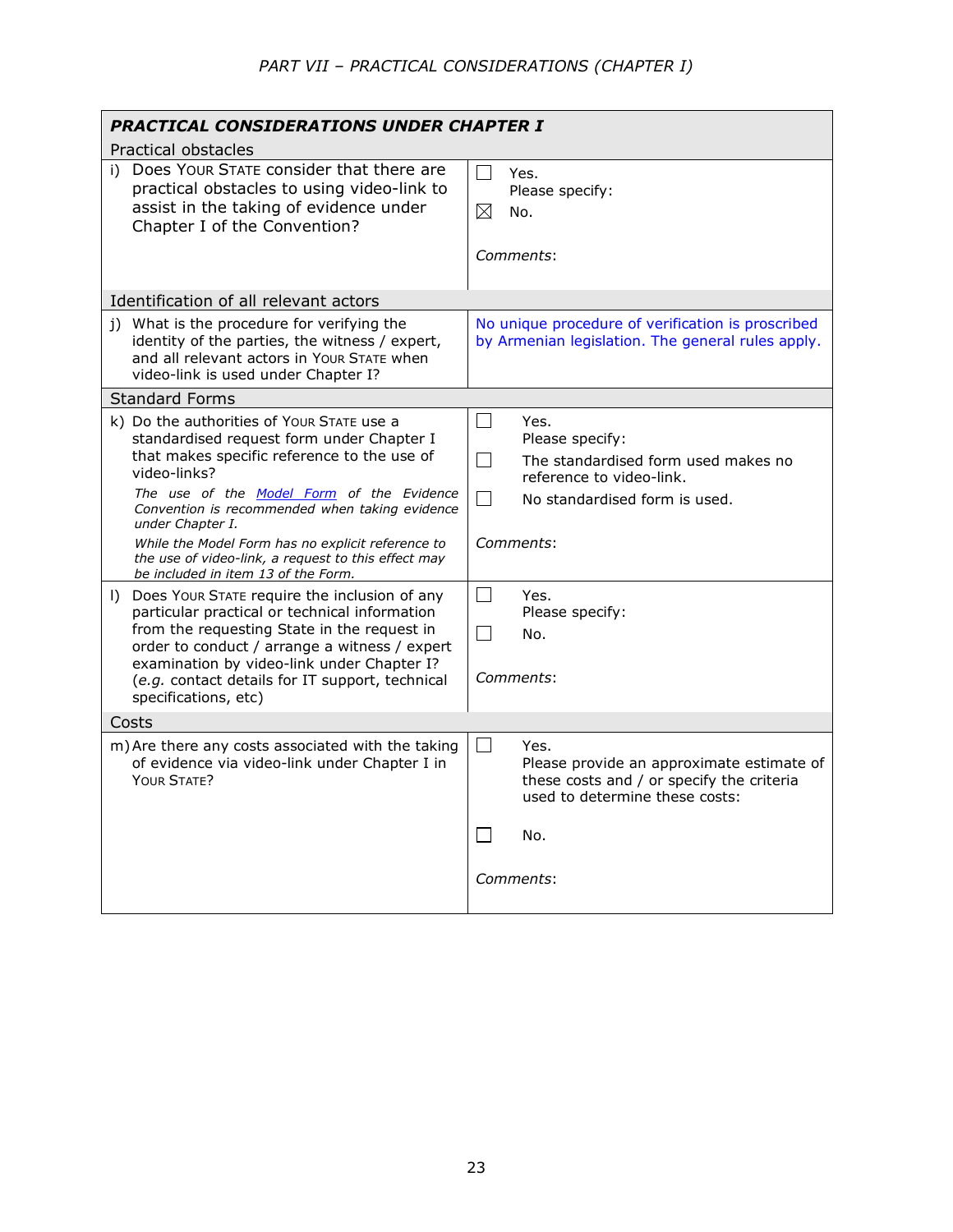| PRACTICAL CONSIDERATIONS UNDER CHAPTER I                                                                                                                                                                                                                                                                                  |                                                                                                                                                                                         |
|---------------------------------------------------------------------------------------------------------------------------------------------------------------------------------------------------------------------------------------------------------------------------------------------------------------------------|-----------------------------------------------------------------------------------------------------------------------------------------------------------------------------------------|
| Practical obstacles                                                                                                                                                                                                                                                                                                       |                                                                                                                                                                                         |
| i) Does Your STATE consider that there are<br>practical obstacles to using video-link to<br>assist in the taking of evidence under<br>Chapter I of the Convention?                                                                                                                                                        | $\blacksquare$<br>Yes.<br>Please specify:<br>$\boxtimes$<br>No.<br><i>Comments:</i>                                                                                                     |
| Identification of all relevant actors                                                                                                                                                                                                                                                                                     |                                                                                                                                                                                         |
| j) What is the procedure for verifying the<br>identity of the parties, the witness / expert,<br>and all relevant actors in Your STATE when<br>video-link is used under Chapter I?                                                                                                                                         | No unique procedure of verification is proscribed<br>by Armenian legislation. The general rules apply.                                                                                  |
| <b>Standard Forms</b>                                                                                                                                                                                                                                                                                                     |                                                                                                                                                                                         |
| k) Do the authorities of Your STATE use a<br>standardised request form under Chapter I<br>that makes specific reference to the use of<br>video-links?<br>The use of the Model Form of the Evidence<br>Convention is recommended when taking evidence<br>under Chapter I.                                                  | $\vert \ \ \vert$<br>Yes.<br>Please specify:<br>$\vert \ \ \vert$<br>The standardised form used makes no<br>reference to video-link.<br>$\blacksquare$<br>No standardised form is used. |
| While the Model Form has no explicit reference to<br>the use of video-link, a request to this effect may<br>be included in item 13 of the Form.                                                                                                                                                                           | Comments:                                                                                                                                                                               |
| I) Does Your STATE require the inclusion of any<br>particular practical or technical information<br>from the requesting State in the request in<br>order to conduct / arrange a witness / expert<br>examination by video-link under Chapter I?<br>(e.g. contact details for IT support, technical<br>specifications, etc) | $\Box$<br>Yes.<br>Please specify:<br>$\blacksquare$<br>No.<br><i>Comments:</i>                                                                                                          |
| Costs                                                                                                                                                                                                                                                                                                                     |                                                                                                                                                                                         |
| m) Are there any costs associated with the taking<br>of evidence via video-link under Chapter I in<br>YOUR STATE?                                                                                                                                                                                                         | $\perp$<br>Yes.<br>Please provide an approximate estimate of<br>these costs and / or specify the criteria<br>used to determine these costs:<br>No.                                      |
|                                                                                                                                                                                                                                                                                                                           | Comments:                                                                                                                                                                               |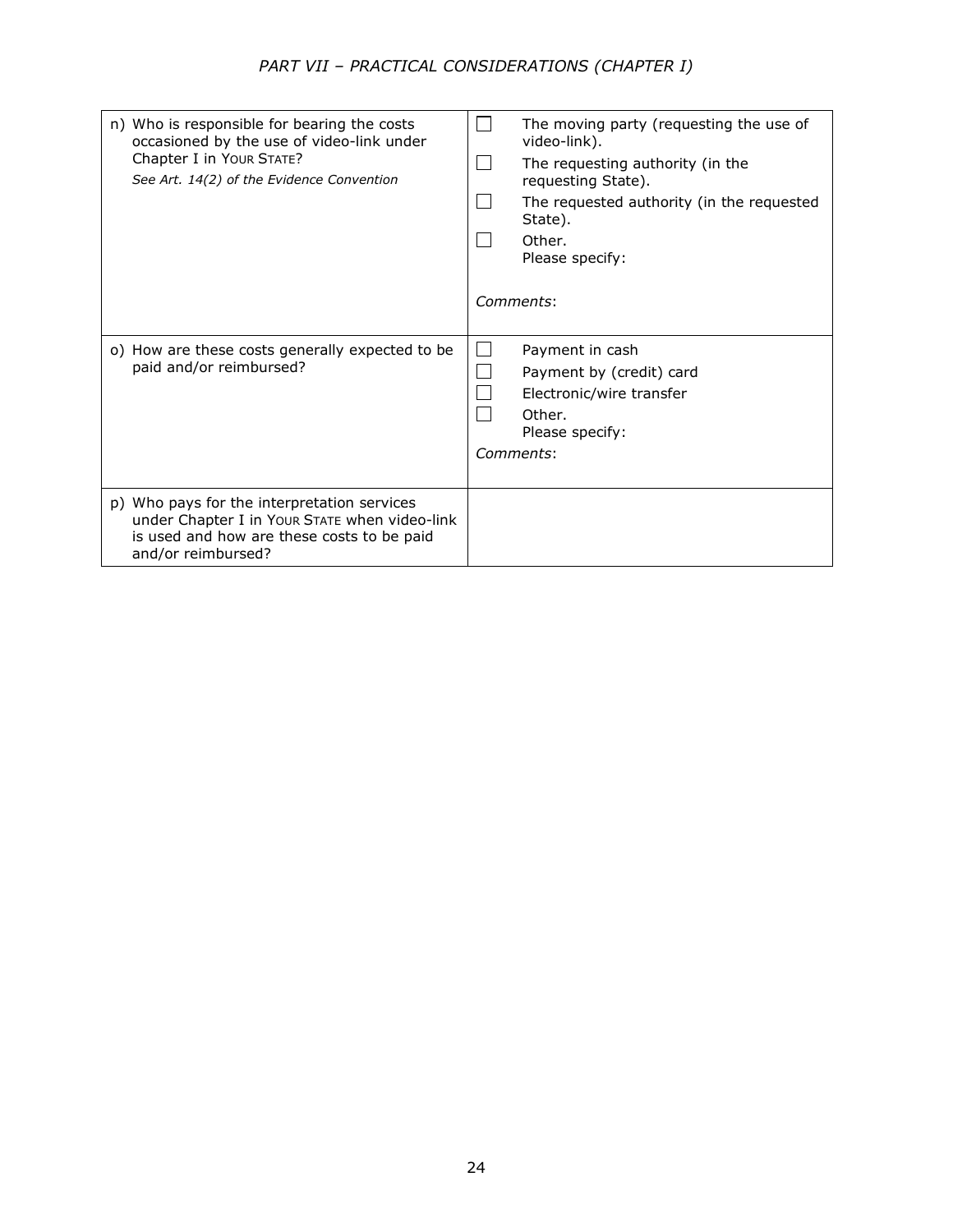| n) Who is responsible for bearing the costs<br>occasioned by the use of video-link under<br>Chapter I in Your STATE?<br>See Art. 14(2) of the Evidence Convention | The moving party (requesting the use of<br>video-link).<br>The requesting authority (in the<br>requesting State).<br>The requested authority (in the requested<br>State).<br>Other.<br>Please specify:<br>Comments: |
|-------------------------------------------------------------------------------------------------------------------------------------------------------------------|---------------------------------------------------------------------------------------------------------------------------------------------------------------------------------------------------------------------|
| o) How are these costs generally expected to be<br>paid and/or reimbursed?                                                                                        | Payment in cash<br>Payment by (credit) card<br>Electronic/wire transfer<br>Other.<br>Please specify:<br>Comments:                                                                                                   |
| p) Who pays for the interpretation services<br>under Chapter I in Your STATE when video-link<br>is used and how are these costs to be paid<br>and/or reimbursed?  |                                                                                                                                                                                                                     |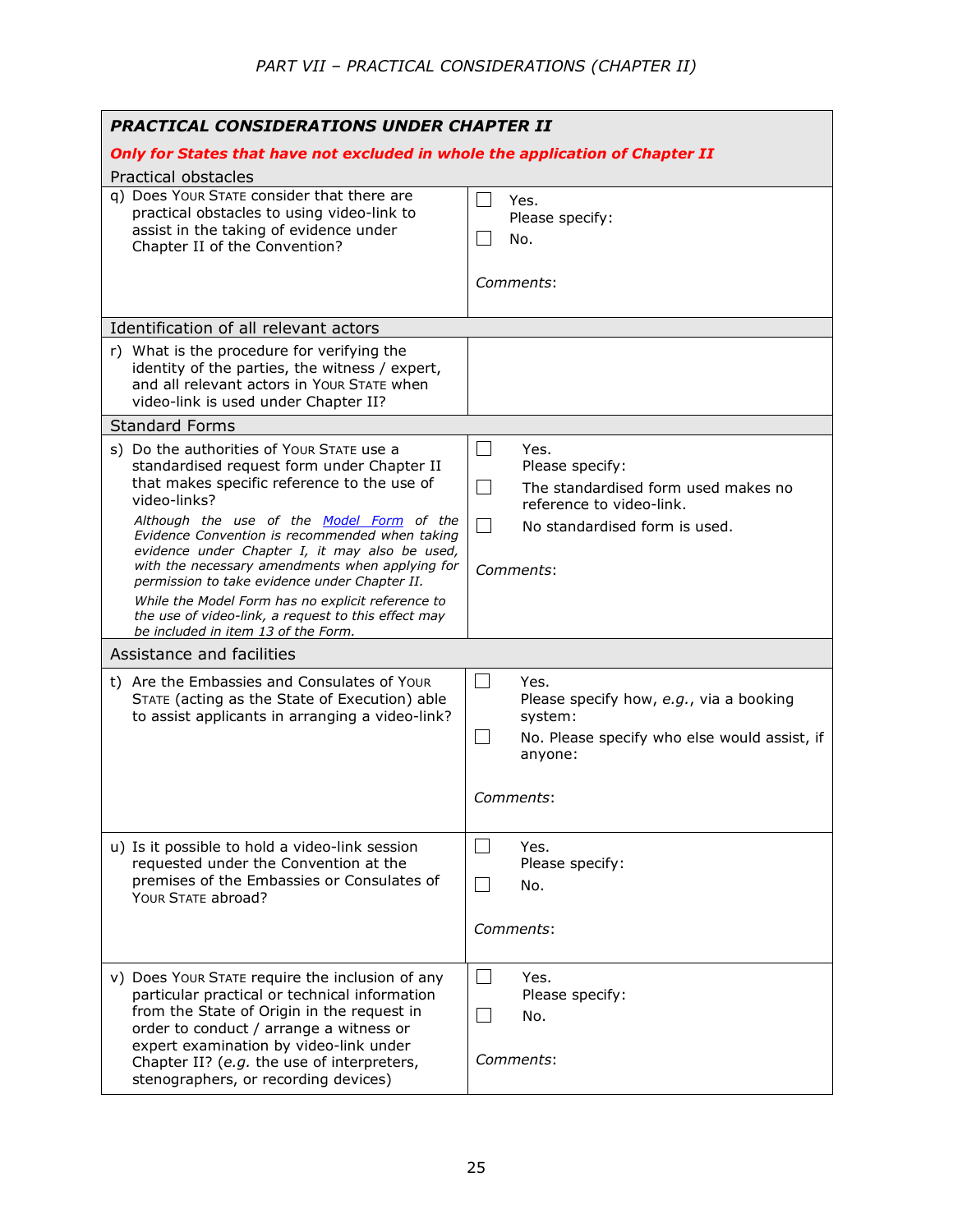| <b>PRACTICAL CONSIDERATIONS UNDER CHAPTER II</b>                                                                                                                                                                                                                                                                                                                                                            |                                                                                                                                                                               |
|-------------------------------------------------------------------------------------------------------------------------------------------------------------------------------------------------------------------------------------------------------------------------------------------------------------------------------------------------------------------------------------------------------------|-------------------------------------------------------------------------------------------------------------------------------------------------------------------------------|
| Only for States that have not excluded in whole the application of Chapter II                                                                                                                                                                                                                                                                                                                               |                                                                                                                                                                               |
| Practical obstacles                                                                                                                                                                                                                                                                                                                                                                                         |                                                                                                                                                                               |
| q) Does Your STATE consider that there are<br>practical obstacles to using video-link to<br>assist in the taking of evidence under<br>Chapter II of the Convention?                                                                                                                                                                                                                                         | Yes.<br>Please specify:<br>No.                                                                                                                                                |
|                                                                                                                                                                                                                                                                                                                                                                                                             | Comments:                                                                                                                                                                     |
| Identification of all relevant actors                                                                                                                                                                                                                                                                                                                                                                       |                                                                                                                                                                               |
| r) What is the procedure for verifying the<br>identity of the parties, the witness / expert,<br>and all relevant actors in Your STATE when<br>video-link is used under Chapter II?                                                                                                                                                                                                                          |                                                                                                                                                                               |
| <b>Standard Forms</b>                                                                                                                                                                                                                                                                                                                                                                                       |                                                                                                                                                                               |
| s) Do the authorities of Your STATE use a<br>standardised request form under Chapter II<br>that makes specific reference to the use of<br>video-links?<br>Although the use of the Model Form of the<br>Evidence Convention is recommended when taking<br>evidence under Chapter I, it may also be used,<br>with the necessary amendments when applying for<br>permission to take evidence under Chapter II. | $\sim$<br>Yes.<br>Please specify:<br>$\mathcal{L}$<br>The standardised form used makes no<br>reference to video-link.<br>$\Box$<br>No standardised form is used.<br>Comments: |
| While the Model Form has no explicit reference to<br>the use of video-link, a request to this effect may<br>be included in item 13 of the Form.                                                                                                                                                                                                                                                             |                                                                                                                                                                               |
| Assistance and facilities                                                                                                                                                                                                                                                                                                                                                                                   |                                                                                                                                                                               |
| t) Are the Embassies and Consulates of Your<br>STATE (acting as the State of Execution) able<br>to assist applicants in arranging a video-link?                                                                                                                                                                                                                                                             | $\vert \ \ \vert$<br>Yes.<br>Please specify how, e.g., via a booking<br>system:<br>No. Please specify who else would assist, if<br>$\Box$<br>anyone:                          |
|                                                                                                                                                                                                                                                                                                                                                                                                             | Comments:                                                                                                                                                                     |
| u) Is it possible to hold a video-link session<br>requested under the Convention at the<br>premises of the Embassies or Consulates of<br>YOUR STATE abroad?                                                                                                                                                                                                                                                 | Yes.<br>Please specify:<br>No.<br>Comments:                                                                                                                                   |
| v) Does Your STATE require the inclusion of any<br>particular practical or technical information<br>from the State of Origin in the request in<br>order to conduct / arrange a witness or<br>expert examination by video-link under<br>Chapter II? (e.g. the use of interpreters,<br>stenographers, or recording devices)                                                                                   | Yes.<br>Please specify:<br>$\blacksquare$<br>No.<br><i>Comments:</i>                                                                                                          |